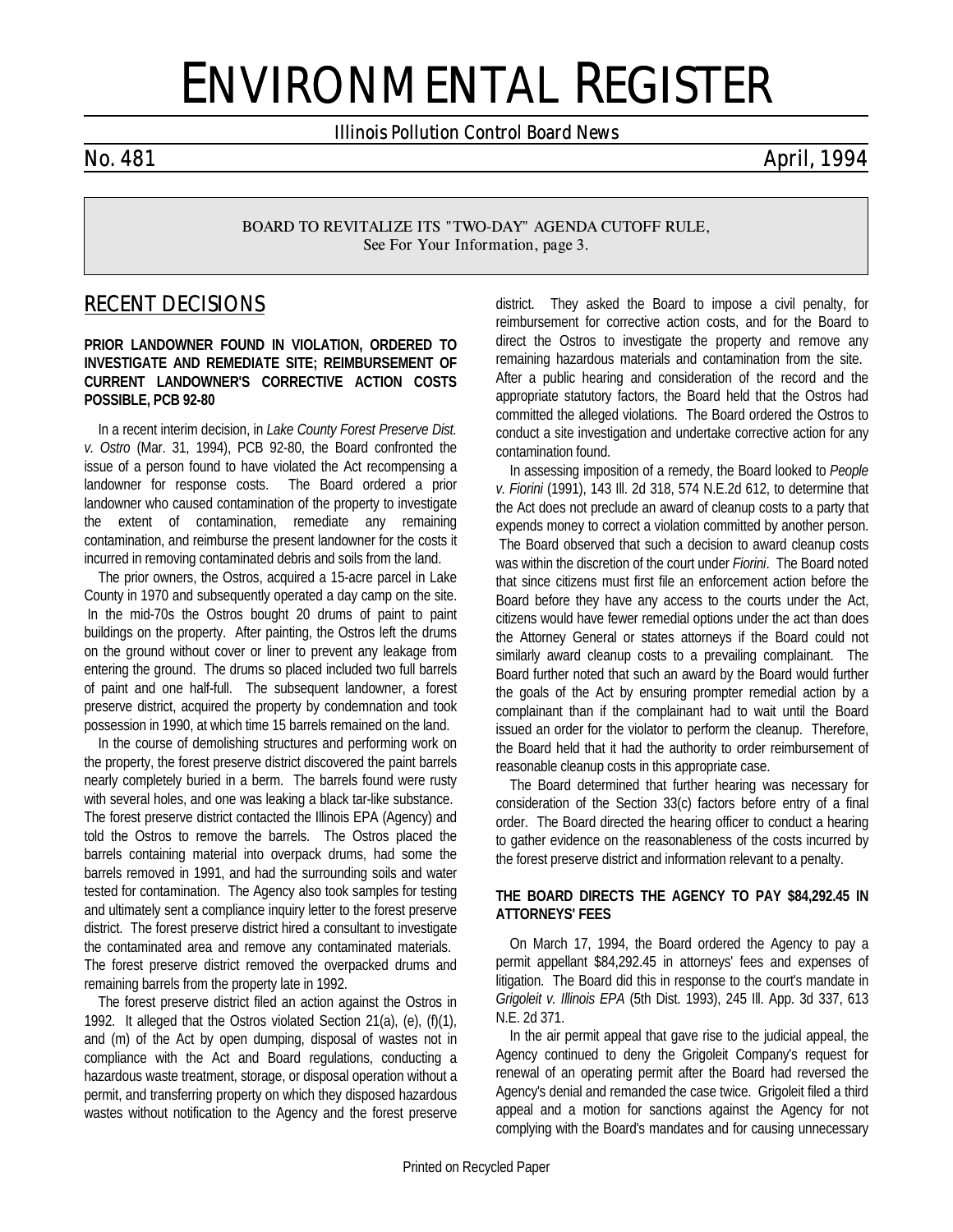# ENVIRONMENTAL REGISTER

*Illinois Pollution Control Board News*

*No. 481 April, 1994*

*BOARD TO REVITALIZE ITS "TWO-DAY" AGENDA CUTOFF RULE, See* **For Your Information***, page 3.*

# *RECENT DECISIONS*

**PRIOR LANDOWNER FOUND IN VIOLATION, ORDERED TO INVESTIGATE AND REMEDIATE SITE; REIMBURSEMENT OF CURRENT LANDOWNER'S CORRECTIVE ACTION COSTS POSSIBLE, PCB 92-80**

In a recent interim decision, in *Lake County Forest Preserve Dist. v. Ostro* (Mar. 31, 1994), PCB 92-80, the Board confronted the issue of a person found to have violated the Act recompensing a landowner for response costs. The Board ordered a prior landowner who caused contamination of the property to investigate the extent of contamination, remediate any remaining contamination, and reimburse the present landowner for the costs it incurred in removing contaminated debris and soils from the land.

The prior owners, the Ostros, acquired a 15-acre parcel in Lake County in 1970 and subsequently operated a day camp on the site. In the mid-70s the Ostros bought 20 drums of paint to paint buildings on the property. After painting, the Ostros left the drums on the ground without cover or liner to prevent any leakage from entering the ground. The drums so placed included two full barrels of paint and one half-full. The subsequent landowner, a forest preserve district, acquired the property by condemnation and took possession in 1990, at which time 15 barrels remained on the land.

In the course of demolishing structures and performing work on the property, the forest preserve district discovered the paint barrels nearly completely buried in a berm. The barrels found were rusty with several holes, and one was leaking a black tar-like substance. The forest preserve district contacted the Illinois EPA (Agency) and told the Ostros to remove the barrels. The Ostros placed the barrels containing material into overpack drums, had some the barrels removed in 1991, and had the surrounding soils and water tested for contamination. The Agency also took samples for testing and ultimately sent a compliance inquiry letter to the forest preserve district. The forest preserve district hired a consultant to investigate the contaminated area and remove any contaminated materials. The forest preserve district removed the overpacked drums and remaining barrels from the property late in 1992.

The forest preserve district filed an action against the Ostros in 1992. It alleged that the Ostros violated Section 21(a), (e), (f)(1), and (m) of the Act by open dumping, disposal of wastes not in compliance with the Act and Board regulations, conducting a hazardous waste treatment, storage, or disposal operation without a permit, and transferring property on which they disposed hazardous wastes without notification to the Agency and the forest preserve district. They asked the Board to impose a civil penalty, for reimbursement for corrective action costs, and for the Board to direct the Ostros to investigate the property and remove any remaining hazardous materials and contamination from the site. After a public hearing and consideration of the record and the appropriate statutory factors, the Board held that the Ostros had committed the alleged violations. The Board ordered the Ostros to conduct a site investigation and undertake corrective action for any contamination found.

In assessing imposition of a remedy, the Board looked to *People v. Fiorini* (1991), 143 Ill. 2d 318, 574 N.E.2d 612, to determine that the Act does not preclude an award of cleanup costs to a party that expends money to correct a violation committed by another person. The Board observed that such a decision to award cleanup costs was within the discretion of the court under *Fiorini*. The Board noted that since citizens must first file an enforcement action before the Board before they have any access to the courts under the Act, citizens would have fewer remedial options under the act than does the Attorney General or states attorneys if the Board could not similarly award cleanup costs to a prevailing complainant. The Board further noted that such an award by the Board would further the goals of the Act by ensuring prompter remedial action by a complainant than if the complainant had to wait until the Board issued an order for the violator to perform the cleanup. Therefore, the Board held that it had the authority to order reimbursement of reasonable cleanup costs in this appropriate case.

The Board determined that further hearing was necessary for consideration of the Section 33(c) factors before entry of a final order. The Board directed the hearing officer to conduct a hearing to gather evidence on the reasonableness of the costs incurred by the forest preserve district and information relevant to a penalty.

#### **THE BOARD DIRECTS THE AGENCY TO PAY \$84,292.45 IN ATTORNEYS' FEES**

On March 17, 1994, the Board ordered the Agency to pay a permit appellant \$84,292.45 in attorneys' fees and expenses of litigation. The Board did this in response to the court's mandate in *Grigoleit v. Illinois EPA* (5th Dist. 1993), 245 Ill. App. 3d 337, 613 N.E. 2d 371.

In the air permit appeal that gave rise to the judicial appeal, the Agency continued to deny the Grigoleit Company's request for renewal of an operating permit after the Board had reversed the Agency's denial and remanded the case twice. Grigoleit filed a third appeal and a motion for sanctions against the Agency for not complying with the Board's mandates and for causing unnecessary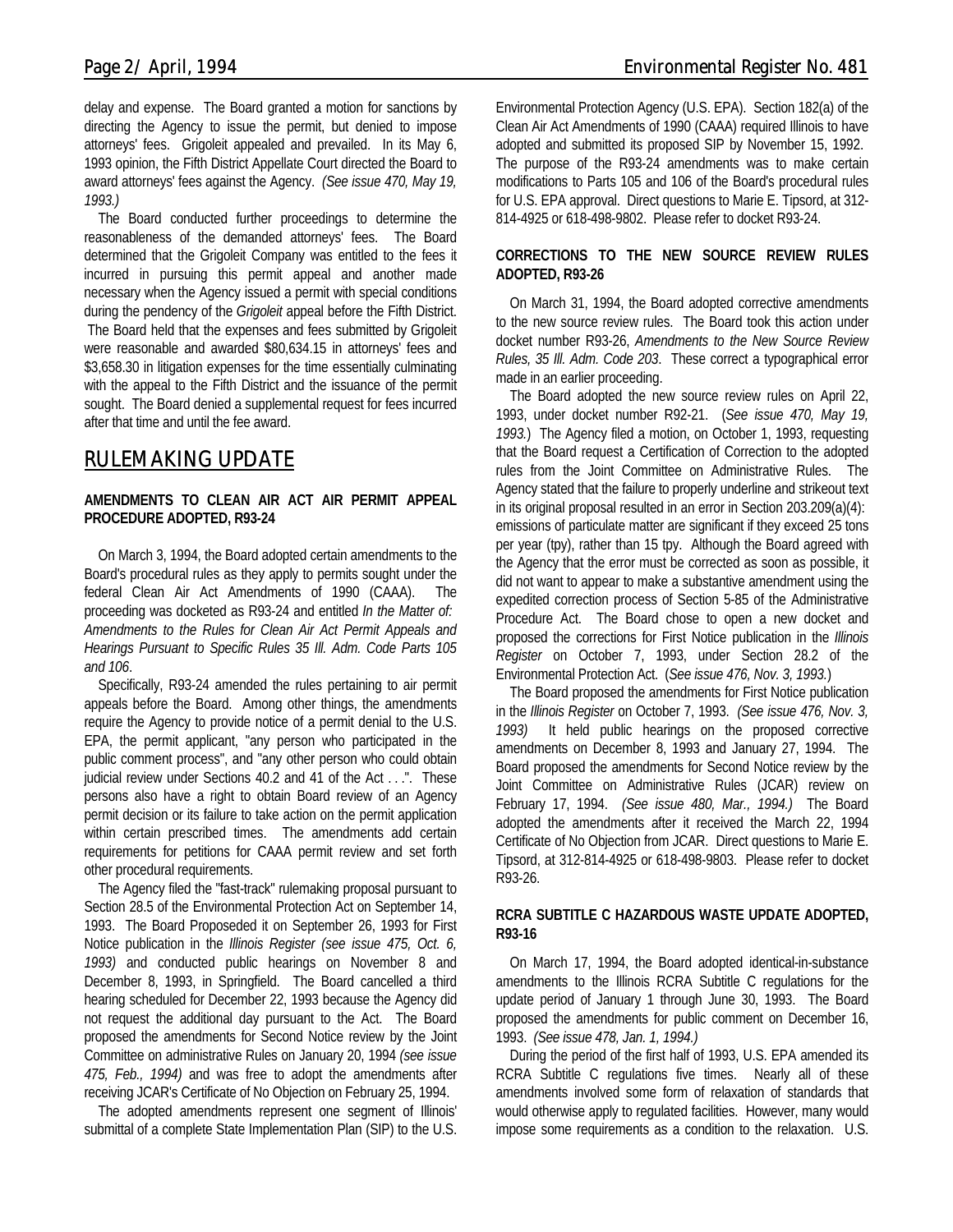delay and expense. The Board granted a motion for sanctions by directing the Agency to issue the permit, but denied to impose attorneys' fees. Grigoleit appealed and prevailed. In its May 6, 1993 opinion, the Fifth District Appellate Court directed the Board to award attorneys' fees against the Agency. *(See issue 470, May 19, 1993.)*

The Board conducted further proceedings to determine the reasonableness of the demanded attorneys' fees. The Board determined that the Grigoleit Company was entitled to the fees it incurred in pursuing this permit appeal and another made necessary when the Agency issued a permit with special conditions during the pendency of the *Grigoleit* appeal before the Fifth District. The Board held that the expenses and fees submitted by Grigoleit were reasonable and awarded \$80,634.15 in attorneys' fees and \$3,658.30 in litigation expenses for the time essentially culminating with the appeal to the Fifth District and the issuance of the permit sought. The Board denied a supplemental request for fees incurred after that time and until the fee award.

# *RULEMAKING UPDATE*

#### **AMENDMENTS TO CLEAN AIR ACT AIR PERMIT APPEAL PROCEDURE ADOPTED, R93-24**

On March 3, 1994, the Board adopted certain amendments to the Board's procedural rules as they apply to permits sought under the federal Clean Air Act Amendments of 1990 (CAAA). The proceeding was docketed as R93-24 and entitled *In the Matter of: Amendments to the Rules for Clean Air Act Permit Appeals and Hearings Pursuant to Specific Rules 35 Ill. Adm. Code Parts 105 and 106*.

Specifically, R93-24 amended the rules pertaining to air permit appeals before the Board. Among other things, the amendments require the Agency to provide notice of a permit denial to the U.S. EPA, the permit applicant, "any person who participated in the public comment process", and "any other person who could obtain judicial review under Sections 40.2 and 41 of the Act . . .". These persons also have a right to obtain Board review of an Agency permit decision or its failure to take action on the permit application within certain prescribed times. The amendments add certain requirements for petitions for CAAA permit review and set forth other procedural requirements.

The Agency filed the "fast-track" rulemaking proposal pursuant to Section 28.5 of the Environmental Protection Act on September 14, 1993. The Board Proposeded it on September 26, 1993 for First Notice publication in the *Illinois Register (see issue 475, Oct. 6, 1993)* and conducted public hearings on November 8 and December 8, 1993, in Springfield. The Board cancelled a third hearing scheduled for December 22, 1993 because the Agency did not request the additional day pursuant to the Act. The Board proposed the amendments for Second Notice review by the Joint Committee on administrative Rules on January 20, 1994 *(see issue 475, Feb., 1994)* and was free to adopt the amendments after receiving JCAR's Certificate of No Objection on February 25, 1994.

The adopted amendments represent one segment of Illinois' submittal of a complete State Implementation Plan (SIP) to the U.S. Environmental Protection Agency (U.S. EPA). Section 182(a) of the Clean Air Act Amendments of 1990 (CAAA) required Illinois to have adopted and submitted its proposed SIP by November 15, 1992. The purpose of the R93-24 amendments was to make certain modifications to Parts 105 and 106 of the Board's procedural rules for U.S. EPA approval. Direct questions to Marie E. Tipsord, at 312- 814-4925 or 618-498-9802. Please refer to docket R93-24.

#### **CORRECTIONS TO THE NEW SOURCE REVIEW RULES ADOPTED, R93-26**

On March 31, 1994, the Board adopted corrective amendments to the new source review rules. The Board took this action under docket number R93-26, *Amendments to the New Source Review Rules, 35 Ill. Adm. Code 203*. These correct a typographical error made in an earlier proceeding.

The Board adopted the new source review rules on April 22, 1993, under docket number R92-21. (*See issue 470, May 19, 1993.*) The Agency filed a motion, on October 1, 1993, requesting that the Board request a Certification of Correction to the adopted rules from the Joint Committee on Administrative Rules. The Agency stated that the failure to properly underline and strikeout text in its original proposal resulted in an error in Section 203.209(a)(4): emissions of particulate matter are significant if they exceed 25 tons per year (tpy), rather than 15 tpy. Although the Board agreed with the Agency that the error must be corrected as soon as possible, it did not want to appear to make a substantive amendment using the expedited correction process of Section 5-85 of the Administrative Procedure Act. The Board chose to open a new docket and proposed the corrections for First Notice publication in the *Illinois Register* on October 7, 1993, under Section 28.2 of the Environmental Protection Act. (*See issue 476, Nov. 3, 1993.*)

The Board proposed the amendments for First Notice publication in the *Illinois Register* on October 7, 1993. *(See issue 476, Nov. 3, 1993)* It held public hearings on the proposed corrective amendments on December 8, 1993 and January 27, 1994. The Board proposed the amendments for Second Notice review by the Joint Committee on Administrative Rules (JCAR) review on February 17, 1994. *(See issue 480, Mar., 1994.)* The Board adopted the amendments after it received the March 22, 1994 Certificate of No Objection from JCAR. Direct questions to Marie E. Tipsord, at 312-814-4925 or 618-498-9803. Please refer to docket R93-26.

#### **RCRA SUBTITLE C HAZARDOUS WASTE UPDATE ADOPTED, R93-16**

On March 17, 1994, the Board adopted identical-in-substance amendments to the Illinois RCRA Subtitle C regulations for the update period of January 1 through June 30, 1993. The Board proposed the amendments for public comment on December 16, 1993. *(See issue 478, Jan. 1, 1994.)*

During the period of the first half of 1993, U.S. EPA amended its RCRA Subtitle C regulations five times. Nearly all of these amendments involved some form of relaxation of standards that would otherwise apply to regulated facilities. However, many would impose some requirements as a condition to the relaxation. U.S.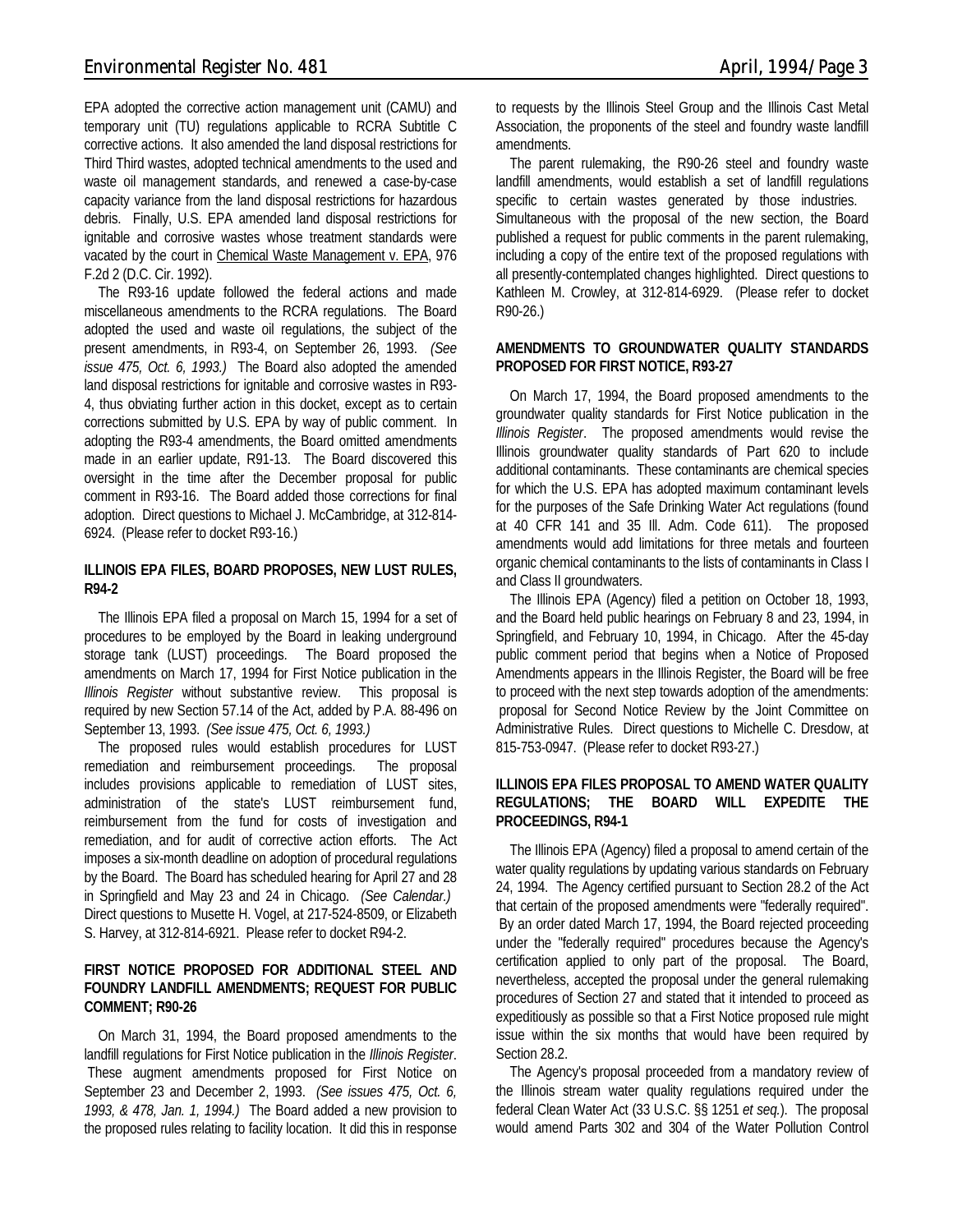EPA adopted the corrective action management unit (CAMU) and temporary unit (TU) regulations applicable to RCRA Subtitle C corrective actions. It also amended the land disposal restrictions for Third Third wastes, adopted technical amendments to the used and waste oil management standards, and renewed a case-by-case capacity variance from the land disposal restrictions for hazardous debris. Finally, U.S. EPA amended land disposal restrictions for ignitable and corrosive wastes whose treatment standards were vacated by the court in Chemical Waste Management v. EPA, 976 F.2d 2 (D.C. Cir. 1992).

The R93-16 update followed the federal actions and made miscellaneous amendments to the RCRA regulations. The Board adopted the used and waste oil regulations, the subject of the present amendments, in R93-4, on September 26, 1993. *(See issue 475, Oct. 6, 1993.)* The Board also adopted the amended land disposal restrictions for ignitable and corrosive wastes in R93- 4, thus obviating further action in this docket, except as to certain corrections submitted by U.S. EPA by way of public comment. In adopting the R93-4 amendments, the Board omitted amendments made in an earlier update, R91-13. The Board discovered this oversight in the time after the December proposal for public comment in R93-16. The Board added those corrections for final adoption. Direct questions to Michael J. McCambridge, at 312-814- 6924. (Please refer to docket R93-16.)

#### **ILLINOIS EPA FILES, BOARD PROPOSES, NEW LUST RULES, R94-2**

The Illinois EPA filed a proposal on March 15, 1994 for a set of procedures to be employed by the Board in leaking underground storage tank (LUST) proceedings. The Board proposed the amendments on March 17, 1994 for First Notice publication in the *Illinois Register* without substantive review. This proposal is required by new Section 57.14 of the Act, added by P.A. 88-496 on September 13, 1993. *(See issue 475, Oct. 6, 1993.)*

The proposed rules would establish procedures for LUST remediation and reimbursement proceedings. The proposal includes provisions applicable to remediation of LUST sites, administration of the state's LUST reimbursement fund, reimbursement from the fund for costs of investigation and remediation, and for audit of corrective action efforts. The Act imposes a six-month deadline on adoption of procedural regulations by the Board. The Board has scheduled hearing for April 27 and 28 in Springfield and May 23 and 24 in Chicago. *(See Calendar.)* Direct questions to Musette H. Vogel, at 217-524-8509, or Elizabeth S. Harvey, at 312-814-6921. Please refer to docket R94-2.

#### **FIRST NOTICE PROPOSED FOR ADDITIONAL STEEL AND FOUNDRY LANDFILL AMENDMENTS; REQUEST FOR PUBLIC COMMENT; R90-26**

On March 31, 1994, the Board proposed amendments to the landfill regulations for First Notice publication in the *Illinois Register*. These augment amendments proposed for First Notice on September 23 and December 2, 1993. *(See issues 475, Oct. 6, 1993, & 478, Jan. 1, 1994.)* The Board added a new provision to the proposed rules relating to facility location. It did this in response

to requests by the Illinois Steel Group and the Illinois Cast Metal Association, the proponents of the steel and foundry waste landfill amendments.

The parent rulemaking, the R90-26 steel and foundry waste landfill amendments, would establish a set of landfill regulations specific to certain wastes generated by those industries. Simultaneous with the proposal of the new section, the Board published a request for public comments in the parent rulemaking, including a copy of the entire text of the proposed regulations with all presently-contemplated changes highlighted. Direct questions to Kathleen M. Crowley, at 312-814-6929. (Please refer to docket R90-26.)

#### **AMENDMENTS TO GROUNDWATER QUALITY STANDARDS PROPOSED FOR FIRST NOTICE, R93-27**

On March 17, 1994, the Board proposed amendments to the groundwater quality standards for First Notice publication in the *Illinois Register*. The proposed amendments would revise the Illinois groundwater quality standards of Part 620 to include additional contaminants. These contaminants are chemical species for which the U.S. EPA has adopted maximum contaminant levels for the purposes of the Safe Drinking Water Act regulations (found at 40 CFR 141 and 35 Ill. Adm. Code 611). The proposed amendments would add limitations for three metals and fourteen organic chemical contaminants to the lists of contaminants in Class I and Class II groundwaters.

The Illinois EPA (Agency) filed a petition on October 18, 1993, and the Board held public hearings on February 8 and 23, 1994, in Springfield, and February 10, 1994, in Chicago. After the 45-day public comment period that begins when a Notice of Proposed Amendments appears in the Illinois Register, the Board will be free to proceed with the next step towards adoption of the amendments: proposal for Second Notice Review by the Joint Committee on Administrative Rules. Direct questions to Michelle C. Dresdow, at 815-753-0947. (Please refer to docket R93-27.)

#### **ILLINOIS EPA FILES PROPOSAL TO AMEND WATER QUALITY REGULATIONS; THE BOARD WILL EXPEDITE THE PROCEEDINGS, R94-1**

The Illinois EPA (Agency) filed a proposal to amend certain of the water quality regulations by updating various standards on February 24, 1994. The Agency certified pursuant to Section 28.2 of the Act that certain of the proposed amendments were "federally required". By an order dated March 17, 1994, the Board rejected proceeding under the "federally required" procedures because the Agency's certification applied to only part of the proposal. The Board, nevertheless, accepted the proposal under the general rulemaking procedures of Section 27 and stated that it intended to proceed as expeditiously as possible so that a First Notice proposed rule might issue within the six months that would have been required by Section 28.2.

The Agency's proposal proceeded from a mandatory review of the Illinois stream water quality regulations required under the federal Clean Water Act (33 U.S.C. §§ 1251 *et seq.*). The proposal would amend Parts 302 and 304 of the Water Pollution Control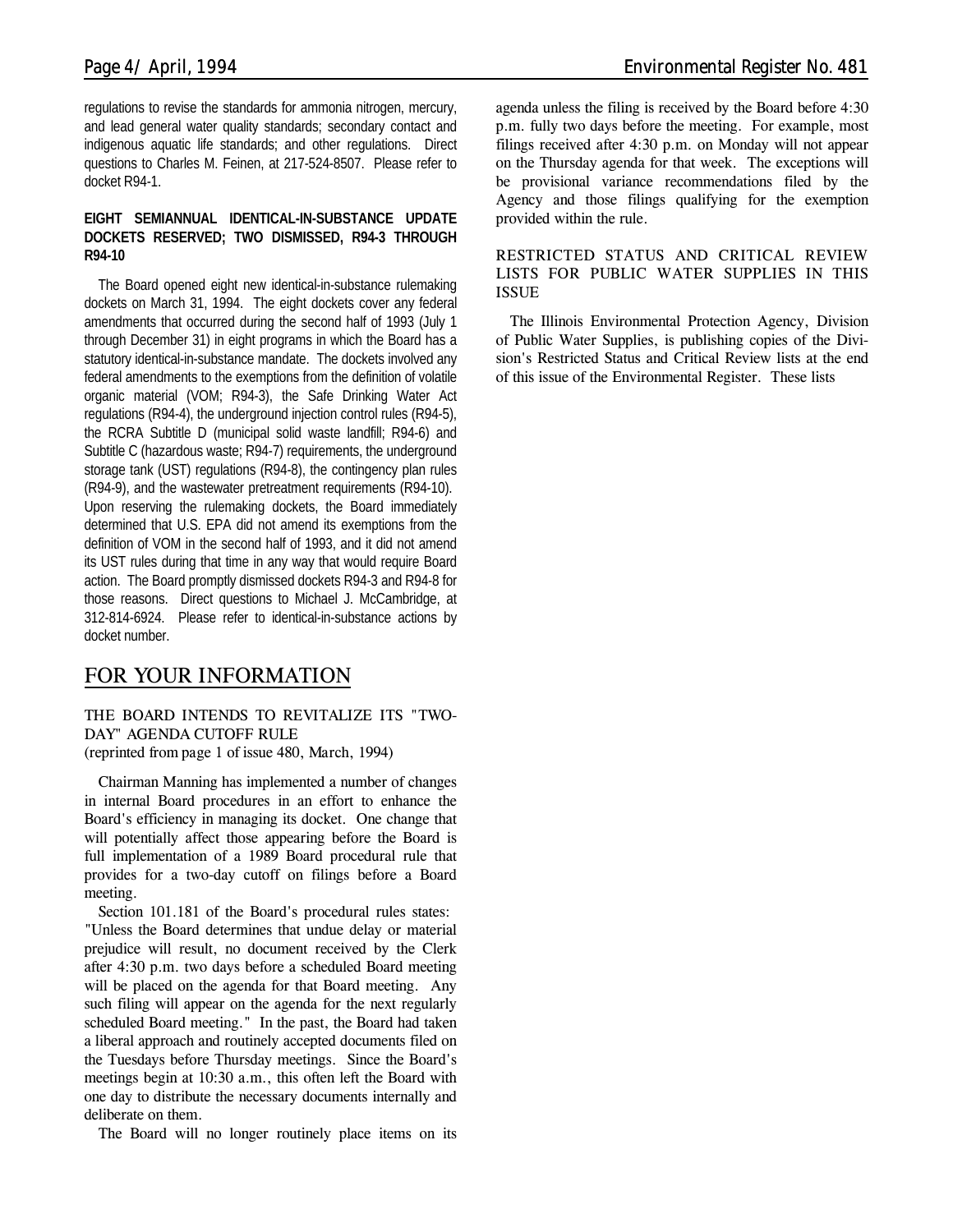regulations to revise the standards for ammonia nitrogen, mercury, and lead general water quality standards; secondary contact and indigenous aquatic life standards; and other regulations. Direct questions to Charles M. Feinen, at 217-524-8507. Please refer to docket R94-1.

#### **EIGHT SEMIANNUAL IDENTICAL-IN-SUBSTANCE UPDATE DOCKETS RESERVED; TWO DISMISSED, R94-3 THROUGH R94-10**

The Board opened eight new identical-in-substance rulemaking dockets on March 31, 1994. The eight dockets cover any federal amendments that occurred during the second half of 1993 (July 1 through December 31) in eight programs in which the Board has a statutory identical-in-substance mandate. The dockets involved any federal amendments to the exemptions from the definition of volatile organic material (VOM; R94-3), the Safe Drinking Water Act regulations (R94-4), the underground injection control rules (R94-5), the RCRA Subtitle D (municipal solid waste landfill; R94-6) and Subtitle C (hazardous waste; R94-7) requirements, the underground storage tank (UST) regulations (R94-8), the contingency plan rules (R94-9), and the wastewater pretreatment requirements (R94-10). Upon reserving the rulemaking dockets, the Board immediately determined that U.S. EPA did not amend its exemptions from the definition of VOM in the second half of 1993, and it did not amend its UST rules during that time in any way that would require Board action. The Board promptly dismissed dockets R94-3 and R94-8 for those reasons. Direct questions to Michael J. McCambridge, at 312-814-6924. Please refer to identical-in-substance actions by docket number.

# *FOR YOUR INFORMATION*

*THE BOARD INTENDS TO REVITALIZE ITS "TWO-DAY" AGENDA CUTOFF RULE (reprinted from page 1 of issue 480, March, 1994)*

Chairman Manning has implemented a number of changes in internal Board procedures in an effort to enhance the Board's efficiency in managing its docket. One change that will potentially affect those appearing before the Board is full implementation of a 1989 Board procedural rule that provides for a two-day cutoff on filings before a Board meeting.

Section 101.181 of the Board's procedural rules states: "Unless the Board determines that undue delay or material prejudice will result, no document received by the Clerk after 4:30 p.m. two days before a scheduled Board meeting will be placed on the agenda for that Board meeting. Any such filing will appear on the agenda for the next regularly scheduled Board meeting." In the past, the Board had taken a liberal approach and routinely accepted documents filed on the Tuesdays before Thursday meetings. Since the Board's meetings begin at 10:30 a.m., this often left the Board with one day to distribute the necessary documents internally and deliberate on them.

The Board will no longer routinely place items on its

agenda unless the filing is received by the Board before 4:30 p.m. fully two days before the meeting. For example, most filings received after 4:30 p.m. on Monday will not appear on the Thursday agenda for that week. The exceptions will be provisional variance recommendations filed by the Agency and those filings qualifying for the exemption provided within the rule.

#### **RESTRICTED STATUS AND CRITICAL REVIEW LISTS FOR PUBLIC WATER SUPPLIES IN THIS ISSUE**

The Illinois Environmental Protection Agency, Division of Public Water Supplies, is publishing copies of the Division's Restricted Status and Critical Review lists at the end of this issue of the Environmental Register. These lists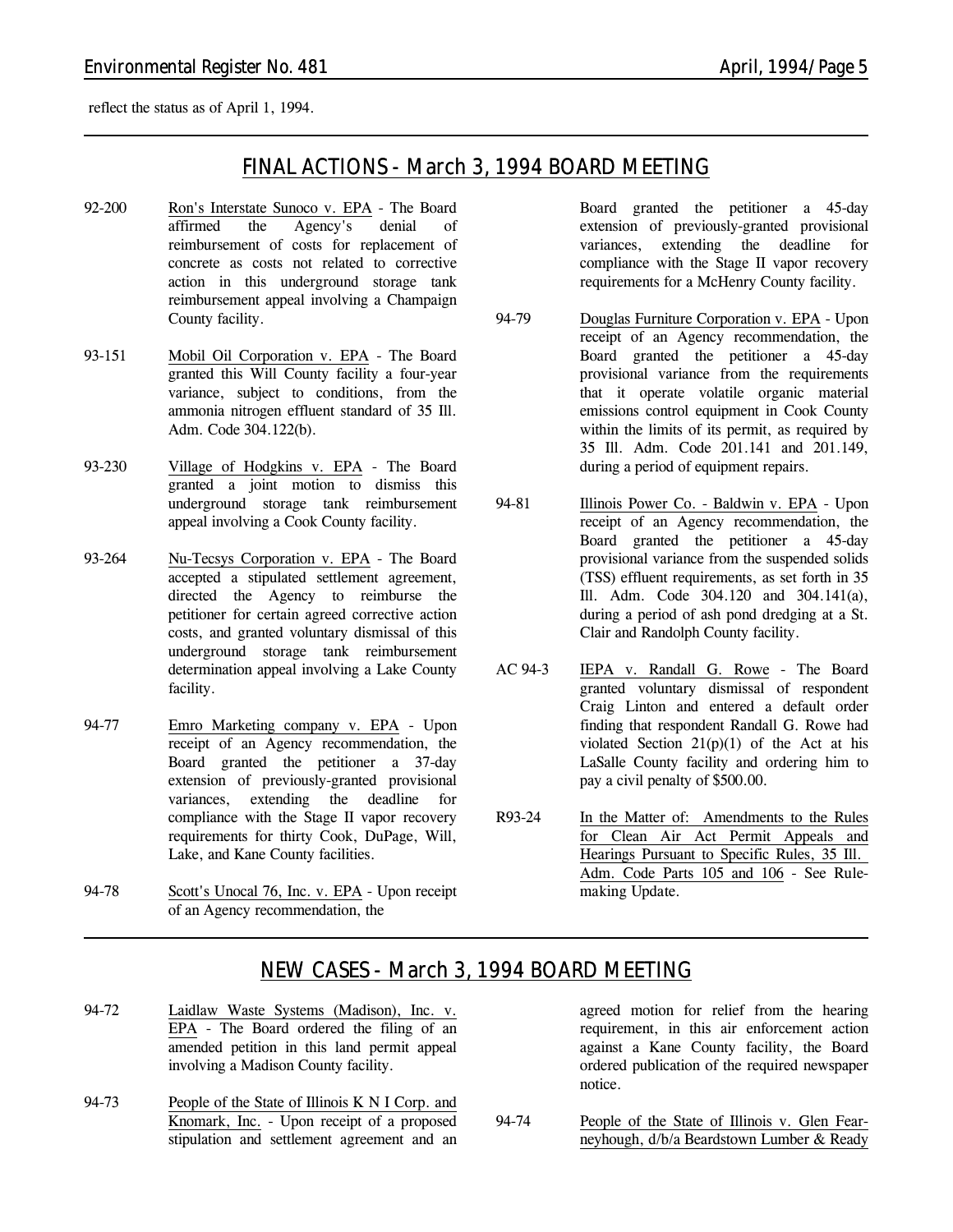reflect the status as of April 1, 1994.

# *FINAL ACTIONS - March 3, 1994 BOARD MEETING*

- 92-200 Ron's Interstate Sunoco v. EPA The Board affirmed the Agency's denial of reimbursement of costs for replacement of concrete as costs not related to corrective action in this underground storage tank reimbursement appeal involving a Champaign County facility.
- 93-151 Mobil Oil Corporation v. EPA The Board granted this Will County facility a four-year variance, subject to conditions, from the ammonia nitrogen effluent standard of 35 Ill. Adm. Code 304.122(b).
- 93-230 Village of Hodgkins v. EPA The Board granted a joint motion to dismiss this underground storage tank reimbursement appeal involving a Cook County facility.
- 93-264 Nu-Tecsys Corporation v. EPA The Board accepted a stipulated settlement agreement, directed the Agency to reimburse the petitioner for certain agreed corrective action costs, and granted voluntary dismissal of this underground storage tank reimbursement determination appeal involving a Lake County facility.
- 94-77 Emro Marketing company v. EPA Upon receipt of an Agency recommendation, the Board granted the petitioner a 37-day extension of previously-granted provisional variances, extending the deadline for compliance with the Stage II vapor recovery requirements for thirty Cook, DuPage, Will, Lake, and Kane County facilities.
- 94-78 Scott's Unocal 76, Inc. v. EPA Upon receipt of an Agency recommendation, the

Board granted the petitioner a 45-day extension of previously-granted provisional variances, extending the deadline for compliance with the Stage II vapor recovery requirements for a McHenry County facility.

- 94-79 Douglas Furniture Corporation v. EPA Upon receipt of an Agency recommendation, the Board granted the petitioner a 45-day provisional variance from the requirements that it operate volatile organic material emissions control equipment in Cook County within the limits of its permit, as required by 35 Ill. Adm. Code 201.141 and 201.149, during a period of equipment repairs.
- 94-81 Illinois Power Co. Baldwin v. EPA Upon receipt of an Agency recommendation, the Board granted the petitioner a 45-day provisional variance from the suspended solids (TSS) effluent requirements, as set forth in 35 Ill. Adm. Code 304.120 and 304.141(a), during a period of ash pond dredging at a St. Clair and Randolph County facility.
- AC 94-3 IEPA v. Randall G. Rowe The Board granted voluntary dismissal of respondent Craig Linton and entered a default order finding that respondent Randall G. Rowe had violated Section  $21(p)(1)$  of the Act at his LaSalle County facility and ordering him to pay a civil penalty of \$500.00.
- R93-24 In the Matter of: Amendments to the Rules for Clean Air Act Permit Appeals and Hearings Pursuant to Specific Rules, 35 Ill. Adm. Code Parts 105 and 106 - *See Rulemaking Update.*

# *NEW CASES - March 3, 1994 BOARD MEETING*

- 94-72 Laidlaw Waste Systems (Madison), Inc. v. EPA - The Board ordered the filing of an amended petition in this land permit appeal involving a Madison County facility.
- 94-73 People of the State of Illinois K N I Corp. and Knomark, Inc. - Upon receipt of a proposed stipulation and settlement agreement and an

agreed motion for relief from the hearing requirement, in this air enforcement action against a Kane County facility, the Board ordered publication of the required newspaper notice.

94-74 People of the State of Illinois v. Glen Fearneyhough, d/b/a Beardstown Lumber & Ready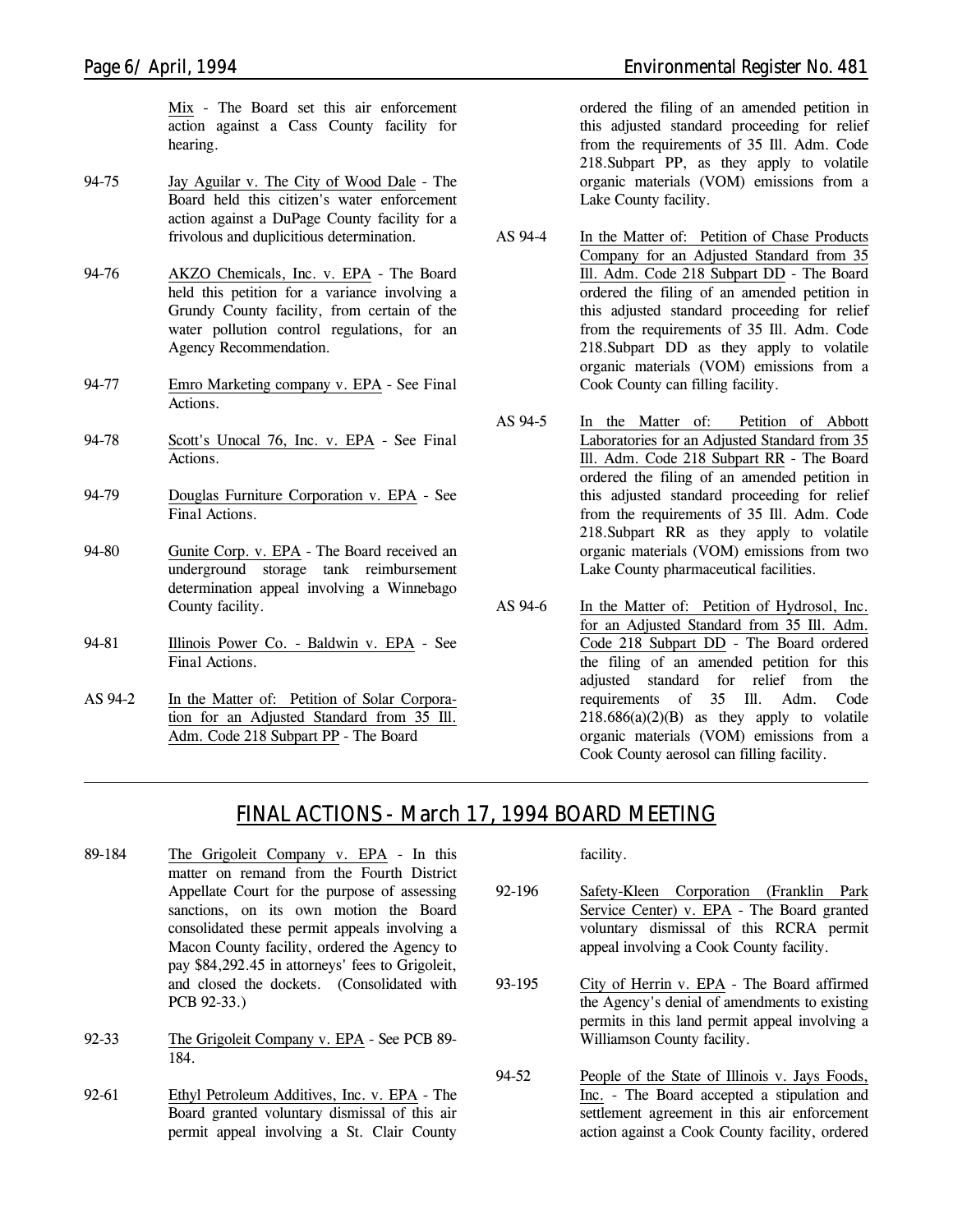Mix - The Board set this air enforcement action against a Cass County facility for hearing.

- 94-75 Jay Aguilar v. The City of Wood Dale The Board held this citizen's water enforcement action against a DuPage County facility for a frivolous and duplicitious determination.
- 94-76 AKZO Chemicals, Inc. v. EPA The Board held this petition for a variance involving a Grundy County facility, from certain of the water pollution control regulations, for an Agency Recommendation.
- 94-77 Emro Marketing company v. EPA *See Final Actions.*
- 94-78 Scott's Unocal 76, Inc. v. EPA *See Final Actions.*
- 94-79 Douglas Furniture Corporation v. EPA *See Final Actions.*
- 94-80 Gunite Corp. v. EPA The Board received an underground storage tank reimbursement determination appeal involving a Winnebago County facility.
- 94-81 Illinois Power Co. Baldwin v. EPA *See Final Actions.*
- AS 94-2 In the Matter of: Petition of Solar Corporation for an Adjusted Standard from 35 Ill. Adm. Code 218 Subpart PP - The Board

ordered the filing of an amended petition in

this adjusted standard proceeding for relief from the requirements of 35 Ill. Adm. Code 218.Subpart PP, as they apply to volatile organic materials (VOM) emissions from a Lake County facility.

- AS 94-4 In the Matter of: Petition of Chase Products Company for an Adjusted Standard from 35 Ill. Adm. Code 218 Subpart DD - The Board ordered the filing of an amended petition in this adjusted standard proceeding for relief from the requirements of 35 Ill. Adm. Code 218.Subpart DD as they apply to volatile organic materials (VOM) emissions from a Cook County can filling facility.
- AS 94-5 In the Matter of: Petition of Abbott Laboratories for an Adjusted Standard from 35 Ill. Adm. Code 218 Subpart RR - The Board ordered the filing of an amended petition in this adjusted standard proceeding for relief from the requirements of 35 Ill. Adm. Code 218.Subpart RR as they apply to volatile organic materials (VOM) emissions from two Lake County pharmaceutical facilities.
- AS 94-6 In the Matter of: Petition of Hydrosol, Inc. for an Adjusted Standard from 35 Ill. Adm. Code 218 Subpart DD - The Board ordered the filing of an amended petition for this adjusted standard for relief from the requirements of 35 Ill. Adm. Code  $218.686(a)(2)(B)$  as they apply to volatile organic materials (VOM) emissions from a Cook County aerosol can filling facility.

# *FINAL ACTIONS - March 17, 1994 BOARD MEETING*

- 89-184 The Grigoleit Company v. EPA In this matter on remand from the Fourth District Appellate Court for the purpose of assessing sanctions, on its own motion the Board consolidated these permit appeals involving a Macon County facility, ordered the Agency to pay \$84,292.45 in attorneys' fees to Grigoleit, and closed the dockets. (Consolidated with PCB 92-33.)
- 92-33 The Grigoleit Company v. EPA *See PCB 89- 184.*
- 92-61 Ethyl Petroleum Additives, Inc. v. EPA The Board granted voluntary dismissal of this air permit appeal involving a St. Clair County

facility.

- 92-196 Safety-Kleen Corporation (Franklin Park Service Center) v. EPA - The Board granted voluntary dismissal of this RCRA permit appeal involving a Cook County facility.
- 93-195 City of Herrin v. EPA The Board affirmed the Agency's denial of amendments to existing permits in this land permit appeal involving a Williamson County facility.
- 94-52 People of the State of Illinois v. Jays Foods, Inc. - The Board accepted a stipulation and settlement agreement in this air enforcement action against a Cook County facility, ordered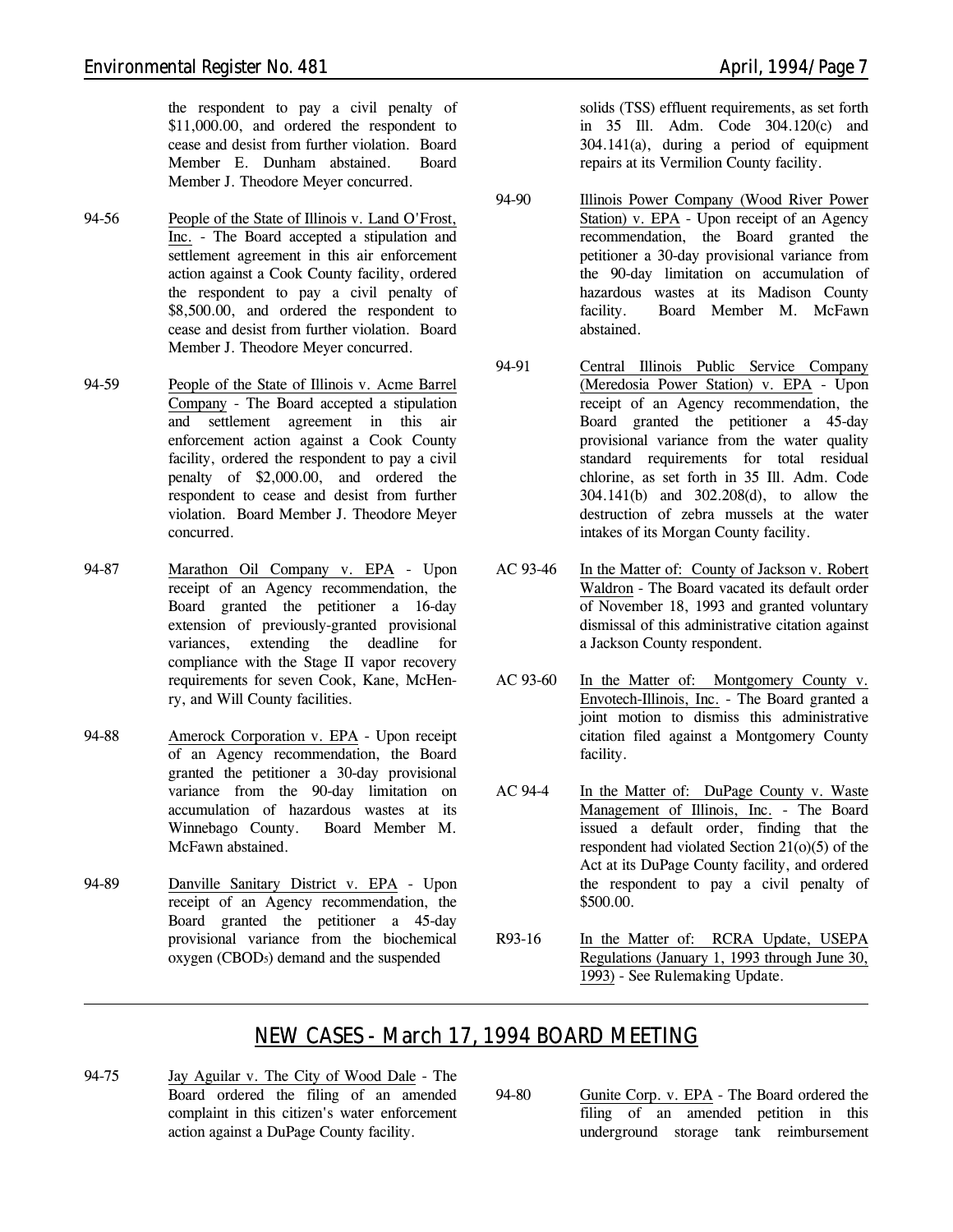the respondent to pay a civil penalty of \$11,000.00, and ordered the respondent to cease and desist from further violation. Board Member E. Dunham abstained. Board Member J. Theodore Meyer concurred.

- 94-56 People of the State of Illinois v. Land O'Frost, Inc. - The Board accepted a stipulation and settlement agreement in this air enforcement action against a Cook County facility, ordered the respondent to pay a civil penalty of \$8,500.00, and ordered the respondent to cease and desist from further violation. Board Member J. Theodore Meyer concurred.
- 94-59 People of the State of Illinois v. Acme Barrel Company - The Board accepted a stipulation and settlement agreement in this air enforcement action against a Cook County facility, ordered the respondent to pay a civil penalty of \$2,000.00, and ordered the respondent to cease and desist from further violation. Board Member J. Theodore Meyer concurred.
- 94-87 Marathon Oil Company v. EPA Upon receipt of an Agency recommendation, the Board granted the petitioner a 16-day extension of previously-granted provisional variances, extending the deadline for compliance with the Stage II vapor recovery requirements for seven Cook, Kane, McHenry, and Will County facilities.
- 94-88 Amerock Corporation v. EPA Upon receipt of an Agency recommendation, the Board granted the petitioner a 30-day provisional variance from the 90-day limitation on accumulation of hazardous wastes at its Winnebago County. Board Member M. McFawn abstained.
- 94-89 Danville Sanitary District v. EPA Upon receipt of an Agency recommendation, the Board granted the petitioner a 45-day provisional variance from the biochemical oxygen (CBOD5) demand and the suspended

solids (TSS) effluent requirements, as set forth in 35 Ill. Adm. Code 304.120(c) and 304.141(a), during a period of equipment repairs at its Vermilion County facility.

- 94-90 Illinois Power Company (Wood River Power Station) v. EPA - Upon receipt of an Agency recommendation, the Board granted the petitioner a 30-day provisional variance from the 90-day limitation on accumulation of hazardous wastes at its Madison County facility. Board Member M. McFawn abstained.
- 94-91 Central Illinois Public Service Company (Meredosia Power Station) v. EPA - Upon receipt of an Agency recommendation, the Board granted the petitioner a 45-day provisional variance from the water quality standard requirements for total residual chlorine, as set forth in 35 Ill. Adm. Code 304.141(b) and 302.208(d), to allow the destruction of zebra mussels at the water intakes of its Morgan County facility.
- AC 93-46 In the Matter of: County of Jackson v. Robert Waldron - The Board vacated its default order of November 18, 1993 and granted voluntary dismissal of this administrative citation against a Jackson County respondent.
- AC 93-60 In the Matter of: Montgomery County v. Envotech-Illinois, Inc. - The Board granted a joint motion to dismiss this administrative citation filed against a Montgomery County facility.
- AC 94-4 In the Matter of: DuPage County v. Waste Management of Illinois, Inc. - The Board issued a default order, finding that the respondent had violated Section 21(o)(5) of the Act at its DuPage County facility, and ordered the respondent to pay a civil penalty of \$500.00.
- R93-16 In the Matter of: RCRA Update, USEPA Regulations (January 1, 1993 through June 30, 1993) - *See Rulemaking Update.*

# *NEW CASES - March 17, 1994 BOARD MEETING*

- 94-75 Jay Aguilar v. The City of Wood Dale The Board ordered the filing of an amended complaint in this citizen's water enforcement action against a DuPage County facility.
- 94-80 Gunite Corp. v. EPA The Board ordered the filing of an amended petition in this underground storage tank reimbursement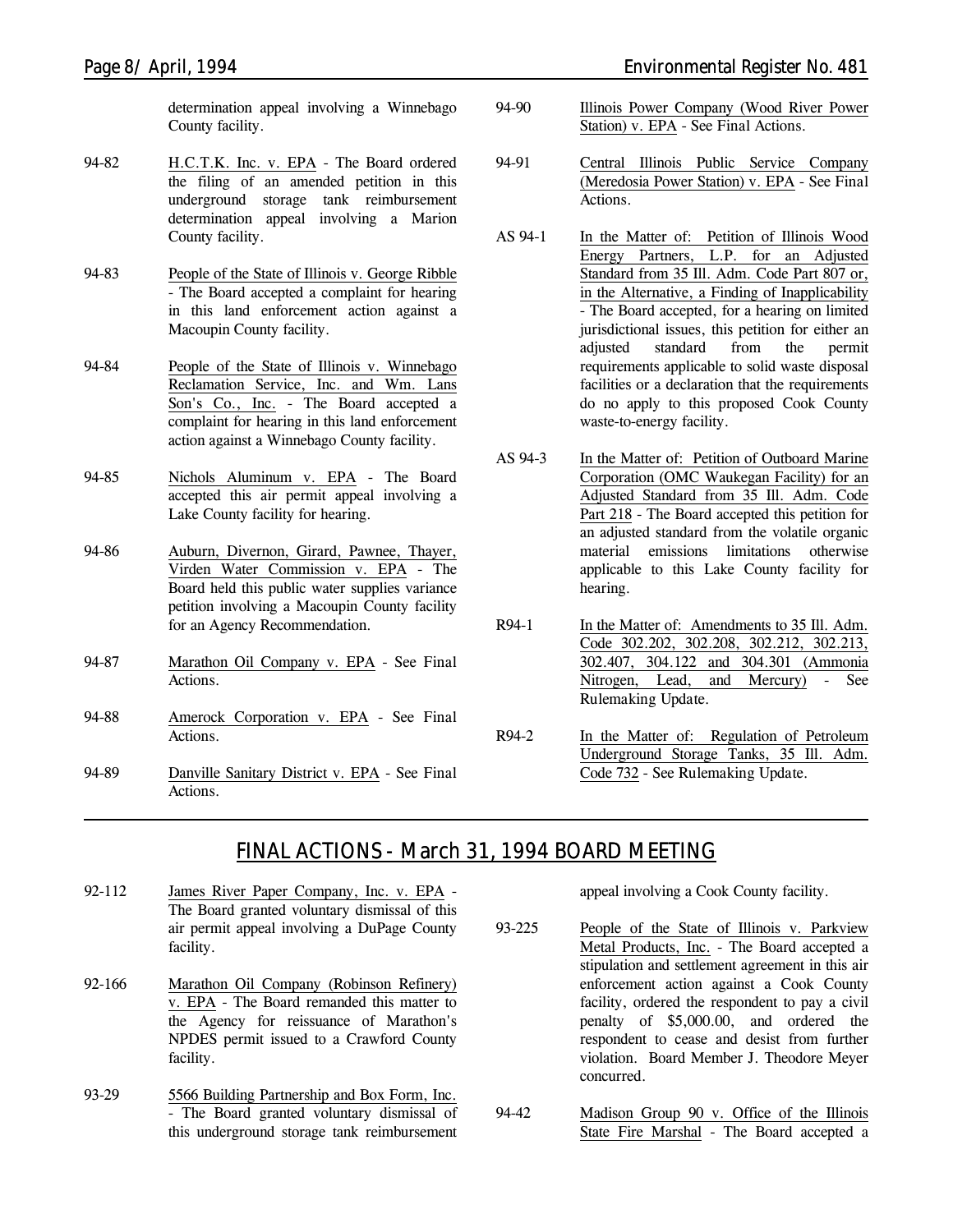determination appeal involving a Winnebago County facility.

- 94-82 H.C.T.K. Inc. v. EPA The Board ordered the filing of an amended petition in this underground storage tank reimbursement determination appeal involving a Marion County facility.
- 94-83 People of the State of Illinois v. George Ribble - The Board accepted a complaint for hearing in this land enforcement action against a Macoupin County facility.
- 94-84 People of the State of Illinois v. Winnebago Reclamation Service, Inc. and Wm. Lans Son's Co., Inc. - The Board accepted a complaint for hearing in this land enforcement action against a Winnebago County facility.
- 94-85 Nichols Aluminum v. EPA The Board accepted this air permit appeal involving a Lake County facility for hearing.
- 94-86 Auburn, Divernon, Girard, Pawnee, Thayer, Virden Water Commission v. EPA - The Board held this public water supplies variance petition involving a Macoupin County facility for an Agency Recommendation.
- 94-87 Marathon Oil Company v. EPA *See Final Actions.*
- 94-88 Amerock Corporation v. EPA *See Final Actions.*
- 94-89 Danville Sanitary District v. EPA *See Final Actions.*
- *Page 8/ April, 1994 Environmental Register No. 481*
	- 94-90 Illinois Power Company (Wood River Power Station) v. EPA - *See Final Actions.*
	- 94-91 Central Illinois Public Service Company (Meredosia Power Station) v. EPA - *See Final Actions.*
	- AS 94-1 In the Matter of: Petition of Illinois Wood Energy Partners, L.P. for an Adjusted Standard from 35 Ill. Adm. Code Part 807 or, in the Alternative, a Finding of Inapplicability - The Board accepted, for a hearing on limited jurisdictional issues, this petition for either an adjusted standard from the permit requirements applicable to solid waste disposal facilities or a declaration that the requirements do no apply to this proposed Cook County waste-to-energy facility.
	- AS 94-3 In the Matter of: Petition of Outboard Marine Corporation (OMC Waukegan Facility) for an Adjusted Standard from 35 Ill. Adm. Code Part 218 - The Board accepted this petition for an adjusted standard from the volatile organic material emissions limitations otherwise applicable to this Lake County facility for hearing.
	- R94-1 In the Matter of: Amendments to 35 Ill. Adm. Code 302.202, 302.208, 302.212, 302.213, 302.407, 304.122 and 304.301 (Ammonia Nitrogen, Lead, and Mercury) - *See Rulemaking Update.*
	- R94-2 In the Matter of: Regulation of Petroleum Underground Storage Tanks, 35 Ill. Adm. Code 732 - *See Rulemaking Update.*

# *FINAL ACTIONS - March 31, 1994 BOARD MEETING*

- 92-112 James River Paper Company, Inc. v. EPA The Board granted voluntary dismissal of this air permit appeal involving a DuPage County facility.
- 92-166 Marathon Oil Company (Robinson Refinery) v. EPA - The Board remanded this matter to the Agency for reissuance of Marathon's NPDES permit issued to a Crawford County facility.
- 93-29 5566 Building Partnership and Box Form, Inc. - The Board granted voluntary dismissal of this underground storage tank reimbursement

appeal involving a Cook County facility.

- 93-225 People of the State of Illinois v. Parkview Metal Products, Inc. - The Board accepted a stipulation and settlement agreement in this air enforcement action against a Cook County facility, ordered the respondent to pay a civil penalty of \$5,000.00, and ordered the respondent to cease and desist from further violation. Board Member J. Theodore Meyer concurred.
- 94-42 Madison Group 90 v. Office of the Illinois State Fire Marshal - The Board accepted a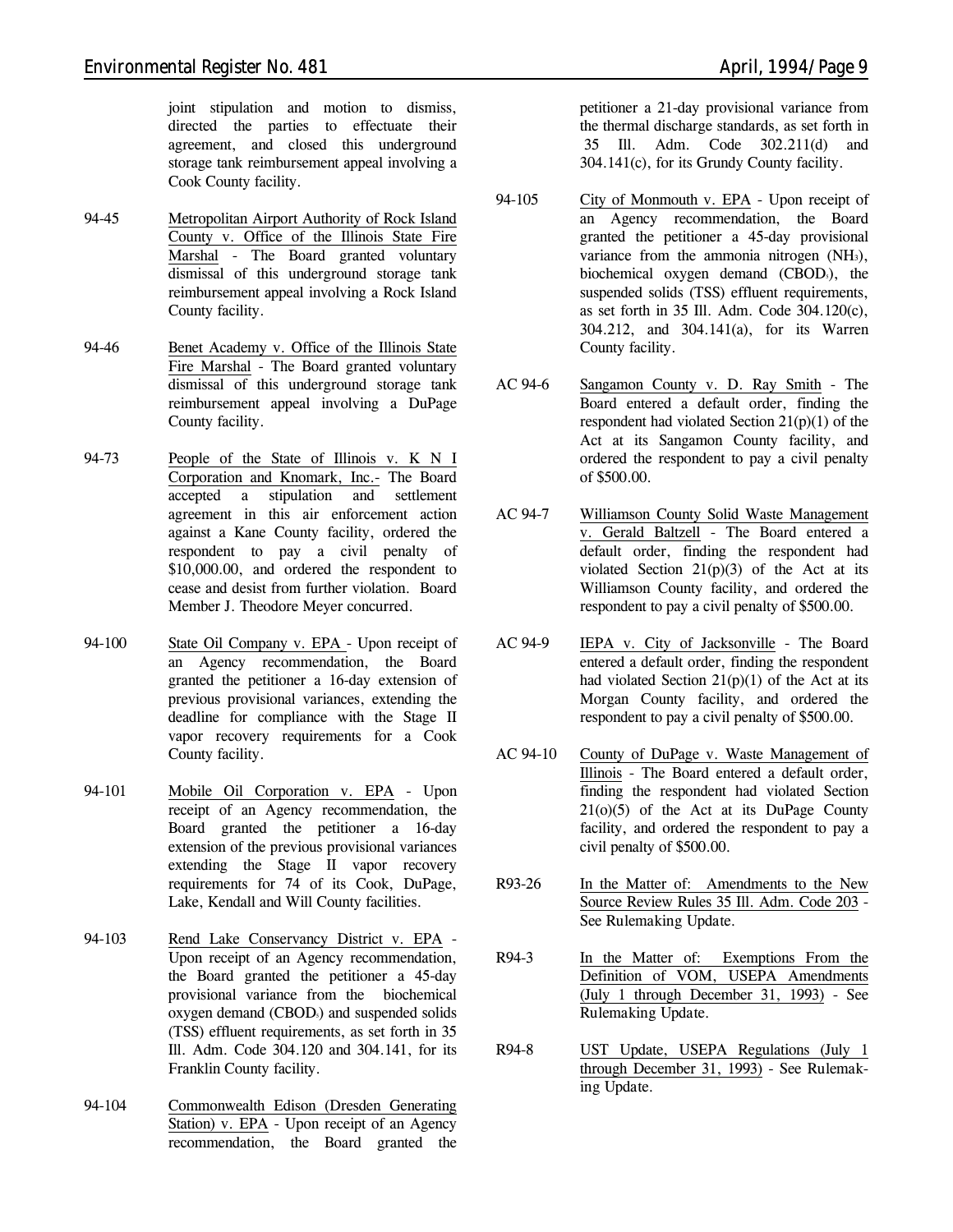- 94-45 Metropolitan Airport Authority of Rock Island County v. Office of the Illinois State Fire Marshal - The Board granted voluntary dismissal of this underground storage tank reimbursement appeal involving a Rock Island County facility.
- 94-46 Benet Academy v. Office of the Illinois State Fire Marshal - The Board granted voluntary dismissal of this underground storage tank reimbursement appeal involving a DuPage County facility.
- 94-73 People of the State of Illinois v. K N I Corporation and Knomark, Inc.- The Board accepted a stipulation and settlement agreement in this air enforcement action against a Kane County facility, ordered the respondent to pay a civil penalty of \$10,000.00, and ordered the respondent to cease and desist from further violation. Board Member J. Theodore Meyer concurred.
- 94-100 State Oil Company v. EPA Upon receipt of an Agency recommendation, the Board granted the petitioner a 16-day extension of previous provisional variances, extending the deadline for compliance with the Stage II vapor recovery requirements for a Cook County facility.
- 94-101 Mobile Oil Corporation v. EPA Upon receipt of an Agency recommendation, the Board granted the petitioner a 16-day extension of the previous provisional variances extending the Stage II vapor recovery requirements for 74 of its Cook, DuPage, Lake, Kendall and Will County facilities.
- 94-103 Rend Lake Conservancy District v. EPA Upon receipt of an Agency recommendation, the Board granted the petitioner a 45-day provisional variance from the biochemical oxygen demand (CBOD<sub>5</sub>) and suspended solids (TSS) effluent requirements, as set forth in 35 Ill. Adm. Code 304.120 and 304.141, for its Franklin County facility.
- 94-104 Commonwealth Edison (Dresden Generating Station) v. EPA - Upon receipt of an Agency recommendation, the Board granted the

petitioner a 21-day provisional variance from

the thermal discharge standards, as set forth in 35 Ill. Adm. Code 302.211(d) and 304.141(c), for its Grundy County facility.

- 94-105 City of Monmouth v. EPA Upon receipt of an Agency recommendation, the Board granted the petitioner a 45-day provisional variance from the ammonia nitrogen (NH3), biochemical oxygen demand (CBOD<sub>5</sub>), the suspended solids (TSS) effluent requirements, as set forth in 35 Ill. Adm. Code 304.120(c), 304.212, and 304.141(a), for its Warren County facility.
- AC 94-6 Sangamon County v. D. Ray Smith The Board entered a default order, finding the respondent had violated Section 21(p)(1) of the Act at its Sangamon County facility, and ordered the respondent to pay a civil penalty of \$500.00.
- AC 94-7 Williamson County Solid Waste Management v. Gerald Baltzell - The Board entered a default order, finding the respondent had violated Section  $21(p)(3)$  of the Act at its Williamson County facility, and ordered the respondent to pay a civil penalty of \$500.00.
- AC 94-9 IEPA v. City of Jacksonville The Board entered a default order, finding the respondent had violated Section  $21(p)(1)$  of the Act at its Morgan County facility, and ordered the respondent to pay a civil penalty of \$500.00.
- AC 94-10 County of DuPage v. Waste Management of Illinois - The Board entered a default order, finding the respondent had violated Section 21(o)(5) of the Act at its DuPage County facility, and ordered the respondent to pay a civil penalty of \$500.00.
- R93-26 In the Matter of: Amendments to the New Source Review Rules 35 Ill. Adm. Code 203 - *See Rulemaking Update.*
- R94-3 In the Matter of: Exemptions From the Definition of VOM, USEPA Amendments (July 1 through December 31, 1993) - *See Rulemaking Update.*
- R94-8 UST Update, USEPA Regulations (July 1 through December 31, 1993) - *See Rulemaking Update.*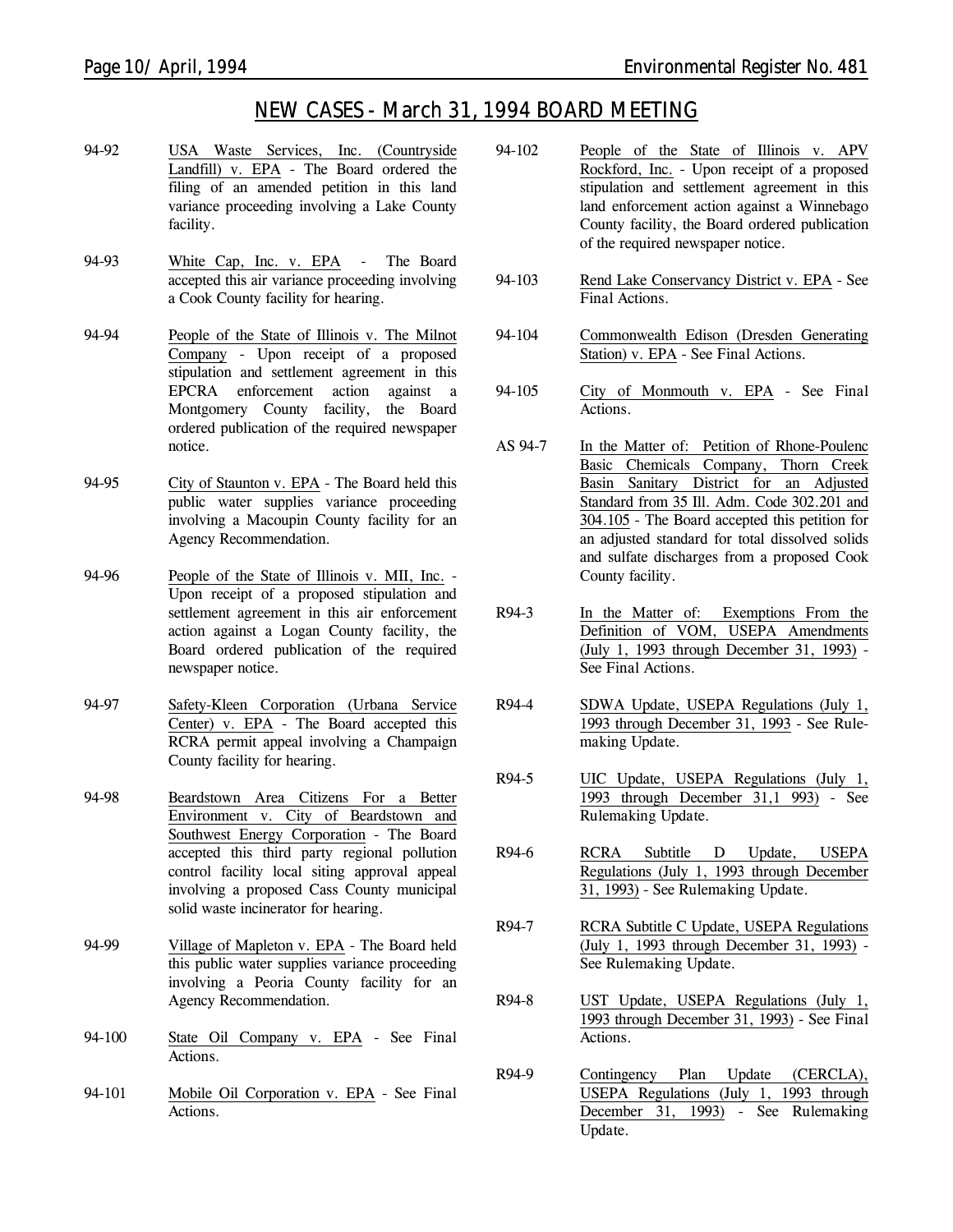# *NEW CASES - March 31, 1994 BOARD MEETING*

- 94-92 USA Waste Services, Inc. (Countryside Landfill) v. EPA - The Board ordered the filing of an amended petition in this land variance proceeding involving a Lake County facility.
- 94-93 White Cap, Inc. v. EPA The Board accepted this air variance proceeding involving a Cook County facility for hearing.
- 94-94 People of the State of Illinois v. The Milnot Company - Upon receipt of a proposed stipulation and settlement agreement in this EPCRA enforcement action against a Montgomery County facility, the Board ordered publication of the required newspaper notice.
- 94-95 City of Staunton v. EPA The Board held this public water supplies variance proceeding involving a Macoupin County facility for an Agency Recommendation.
- 94-96 People of the State of Illinois v. MII, Inc. Upon receipt of a proposed stipulation and settlement agreement in this air enforcement action against a Logan County facility, the Board ordered publication of the required newspaper notice.
- 94-97 Safety-Kleen Corporation (Urbana Service Center) v. EPA - The Board accepted this RCRA permit appeal involving a Champaign County facility for hearing.
- 94-98 Beardstown Area Citizens For a Better Environment v. City of Beardstown and Southwest Energy Corporation - The Board accepted this third party regional pollution control facility local siting approval appeal involving a proposed Cass County municipal solid waste incinerator for hearing.
- 94-99 Village of Mapleton v. EPA The Board held this public water supplies variance proceeding involving a Peoria County facility for an Agency Recommendation.
- 94-100 State Oil Company v. EPA *See Final Actions.*
- 94-101 Mobile Oil Corporation v. EPA *See Final Actions.*
- 94-102 People of the State of Illinois v. APV Rockford, Inc. - Upon receipt of a proposed stipulation and settlement agreement in this land enforcement action against a Winnebago County facility, the Board ordered publication of the required newspaper notice.
- 94-103 Rend Lake Conservancy District v. EPA *See Final Actions.*
- 94-104 Commonwealth Edison (Dresden Generating Station) v. EPA - *See Final Actions.*
- 94-105 City of Monmouth v. EPA *See Final Actions.*
- AS 94-7 In the Matter of: Petition of Rhone-Poulenc Basic Chemicals Company, Thorn Creek Basin Sanitary District for an Adjusted Standard from 35 Ill. Adm. Code 302.201 and 304.105 - The Board accepted this petition for an adjusted standard for total dissolved solids and sulfate discharges from a proposed Cook County facility.
- R94-3 In the Matter of: Exemptions From the Definition of VOM, USEPA Amendments (July 1, 1993 through December 31, 1993) - *See Final Actions.*
- R94-4 SDWA Update, USEPA Regulations (July 1, 1993 through December 31, 1993 - *See Rulemaking Update.*
- R94-5 UIC Update, USEPA Regulations (July 1, 1993 through December 31,1 993) - *See Rulemaking Update.*
- R94-6 RCRA Subtitle D Update, USEPA Regulations (July 1, 1993 through December 31, 1993) - *See Rulemaking Update.*
- R94-7 RCRA Subtitle C Update, USEPA Regulations (July 1, 1993 through December 31, 1993) - *See Rulemaking Update.*
- R94-8 UST Update, USEPA Regulations (July 1, 1993 through December 31, 1993) - *See Final Actions.*
- R94-9 Contingency Plan Update (CERCLA), USEPA Regulations (July 1, 1993 through December 31, 1993) - *See Rulemaking Update.*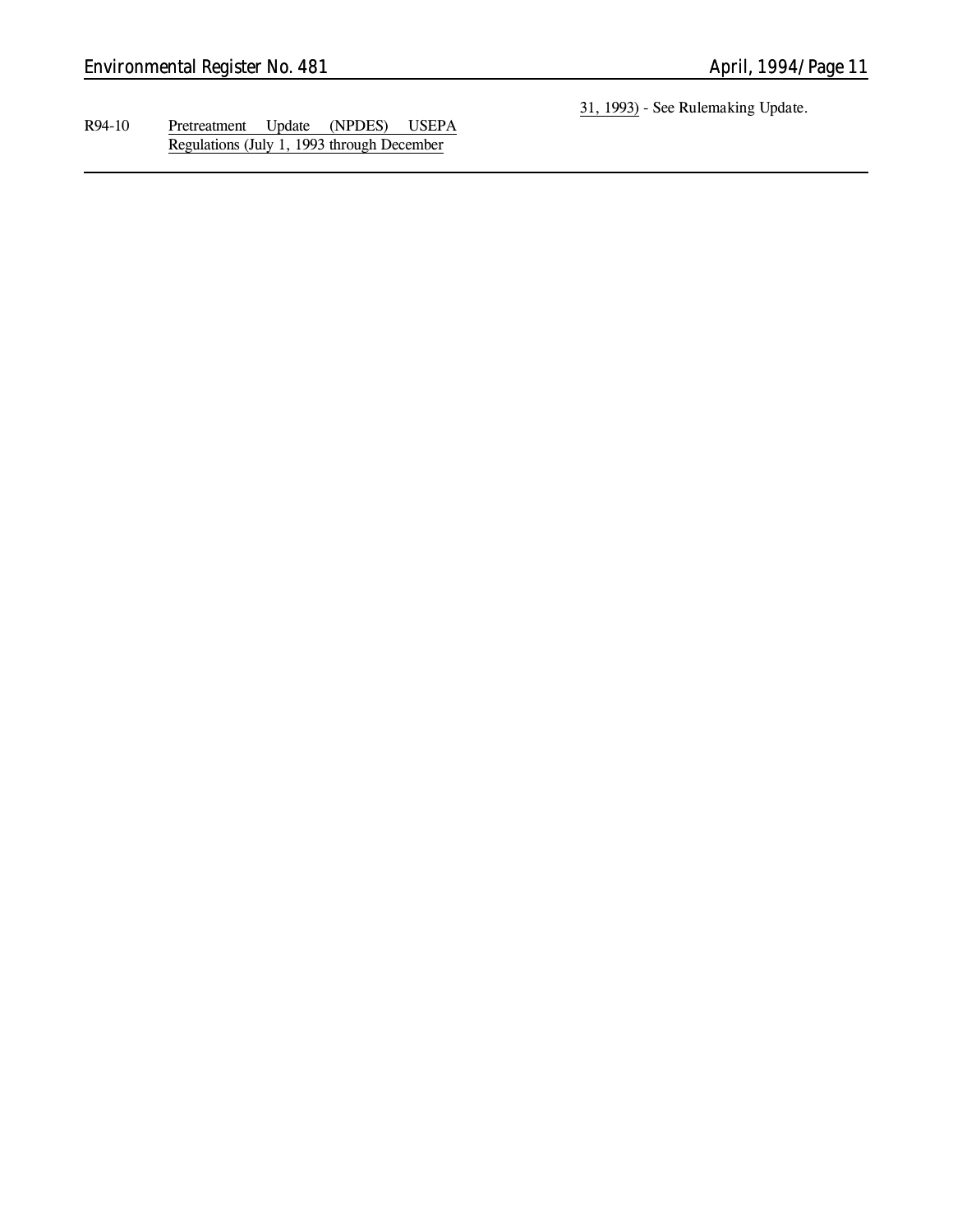R94-10 Pretreatment Update (NPDES) USEPA Regulations (July 1, 1993 through December

31, 1993) - *See Rulemaking Update.*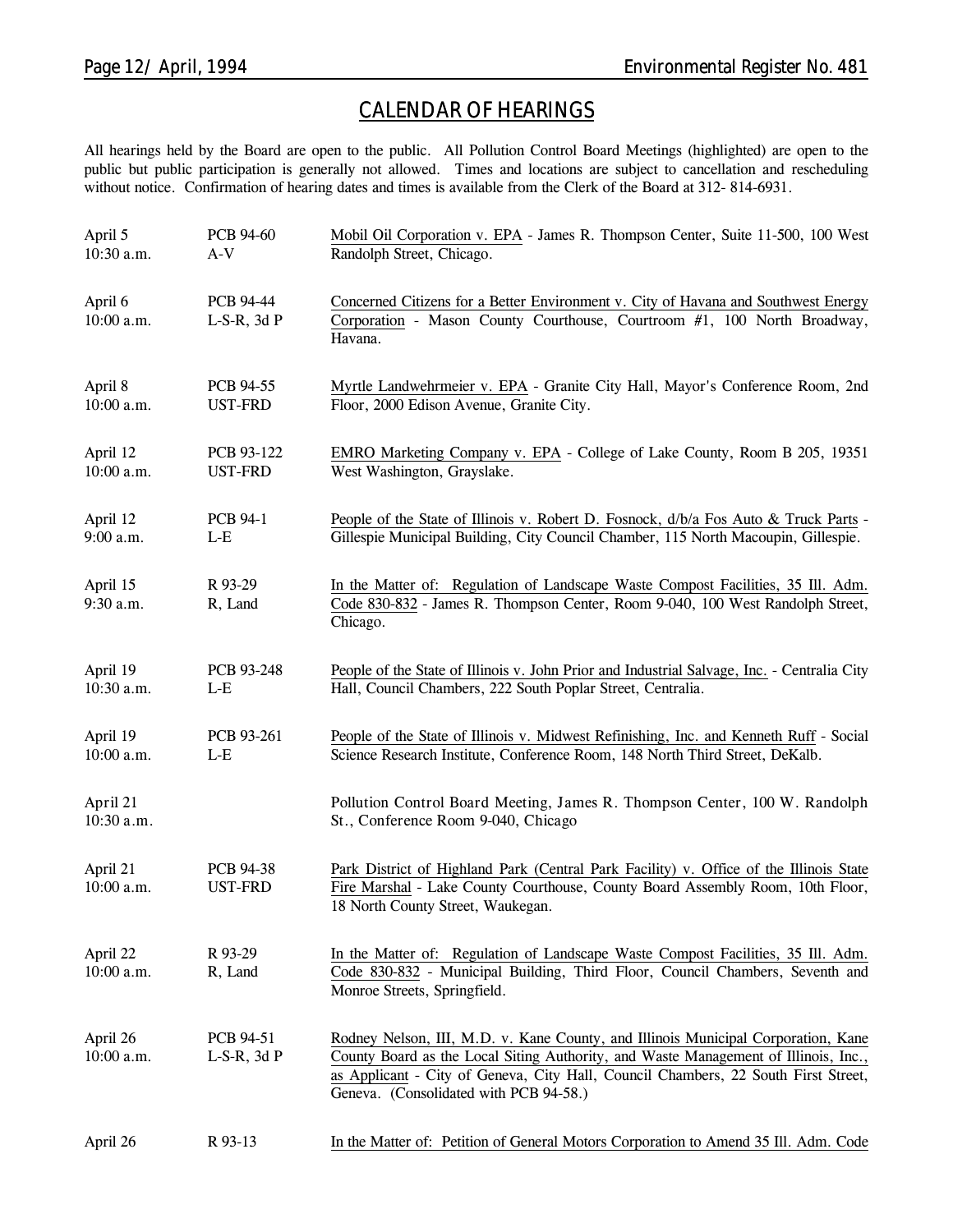# *CALENDAR OF HEARINGS*

All hearings held by the Board are open to the public. All Pollution Control Board Meetings (highlighted) are open to the public but public participation is generally not allowed. Times and locations are subject to cancellation and rescheduling without notice. Confirmation of hearing dates and times is available from the Clerk of the Board at 312-814-6931.

| April 5<br>10:30 a.m.    | PCB 94-60<br>$A-V$            | Mobil Oil Corporation v. EPA - James R. Thompson Center, Suite 11-500, 100 West<br>Randolph Street, Chicago.                                                                                                                                                                                             |
|--------------------------|-------------------------------|----------------------------------------------------------------------------------------------------------------------------------------------------------------------------------------------------------------------------------------------------------------------------------------------------------|
| April 6<br>10:00 a.m.    | PCB 94-44<br>$L-S-R$ , 3d $P$ | Concerned Citizens for a Better Environment v. City of Havana and Southwest Energy<br>Corporation - Mason County Courthouse, Courtroom #1, 100 North Broadway,<br>Havana.                                                                                                                                |
| April 8<br>10:00 a.m.    | PCB 94-55<br><b>UST-FRD</b>   | Myrtle Landwehrmeier v. EPA - Granite City Hall, Mayor's Conference Room, 2nd<br>Floor, 2000 Edison Avenue, Granite City.                                                                                                                                                                                |
| April 12<br>10:00 a.m.   | PCB 93-122<br><b>UST-FRD</b>  | EMRO Marketing Company v. EPA - College of Lake County, Room B 205, 19351<br>West Washington, Grayslake.                                                                                                                                                                                                 |
| April 12<br>9:00 a.m.    | <b>PCB 94-1</b><br>$L-E$      | People of the State of Illinois v. Robert D. Fosnock, d/b/a Fos Auto & Truck Parts -<br>Gillespie Municipal Building, City Council Chamber, 115 North Macoupin, Gillespie.                                                                                                                               |
| April 15<br>9:30 a.m.    | R 93-29<br>R, Land            | In the Matter of: Regulation of Landscape Waste Compost Facilities, 35 Ill. Adm.<br>Code 830-832 - James R. Thompson Center, Room 9-040, 100 West Randolph Street,<br>Chicago.                                                                                                                           |
| April 19<br>10:30 a.m.   | PCB 93-248<br>L-E             | People of the State of Illinois v. John Prior and Industrial Salvage, Inc. - Centralia City<br>Hall, Council Chambers, 222 South Poplar Street, Centralia.                                                                                                                                               |
| April 19<br>$10:00$ a.m. | PCB 93-261<br>$L-E$           | People of the State of Illinois v. Midwest Refinishing, Inc. and Kenneth Ruff - Social<br>Science Research Institute, Conference Room, 148 North Third Street, DeKalb.                                                                                                                                   |
| April 21<br>10:30 a.m.   |                               | Pollution Control Board Meeting, James R. Thompson Center, 100 W. Randolph<br>St., Conference Room 9-040, Chicago                                                                                                                                                                                        |
| April 21<br>10:00 a.m.   | PCB 94-38<br><b>UST-FRD</b>   | Park District of Highland Park (Central Park Facility) v. Office of the Illinois State<br>Fire Marshal - Lake County Courthouse, County Board Assembly Room, 10th Floor,<br>18 North County Street, Waukegan.                                                                                            |
| April 22<br>10:00 a.m.   | R 93-29<br>R, Land            | In the Matter of: Regulation of Landscape Waste Compost Facilities, 35 Ill. Adm.<br>Code 830-832 - Municipal Building, Third Floor, Council Chambers, Seventh and<br>Monroe Streets, Springfield.                                                                                                        |
| April 26<br>$10:00$ a.m. | PCB 94-51<br>$L-S-R$ , 3d $P$ | Rodney Nelson, III, M.D. v. Kane County, and Illinois Municipal Corporation, Kane<br>County Board as the Local Siting Authority, and Waste Management of Illinois, Inc.,<br>as Applicant - City of Geneva, City Hall, Council Chambers, 22 South First Street,<br>Geneva. (Consolidated with PCB 94-58.) |
| April 26                 | R 93-13                       | In the Matter of: Petition of General Motors Corporation to Amend 35 Ill. Adm. Code                                                                                                                                                                                                                      |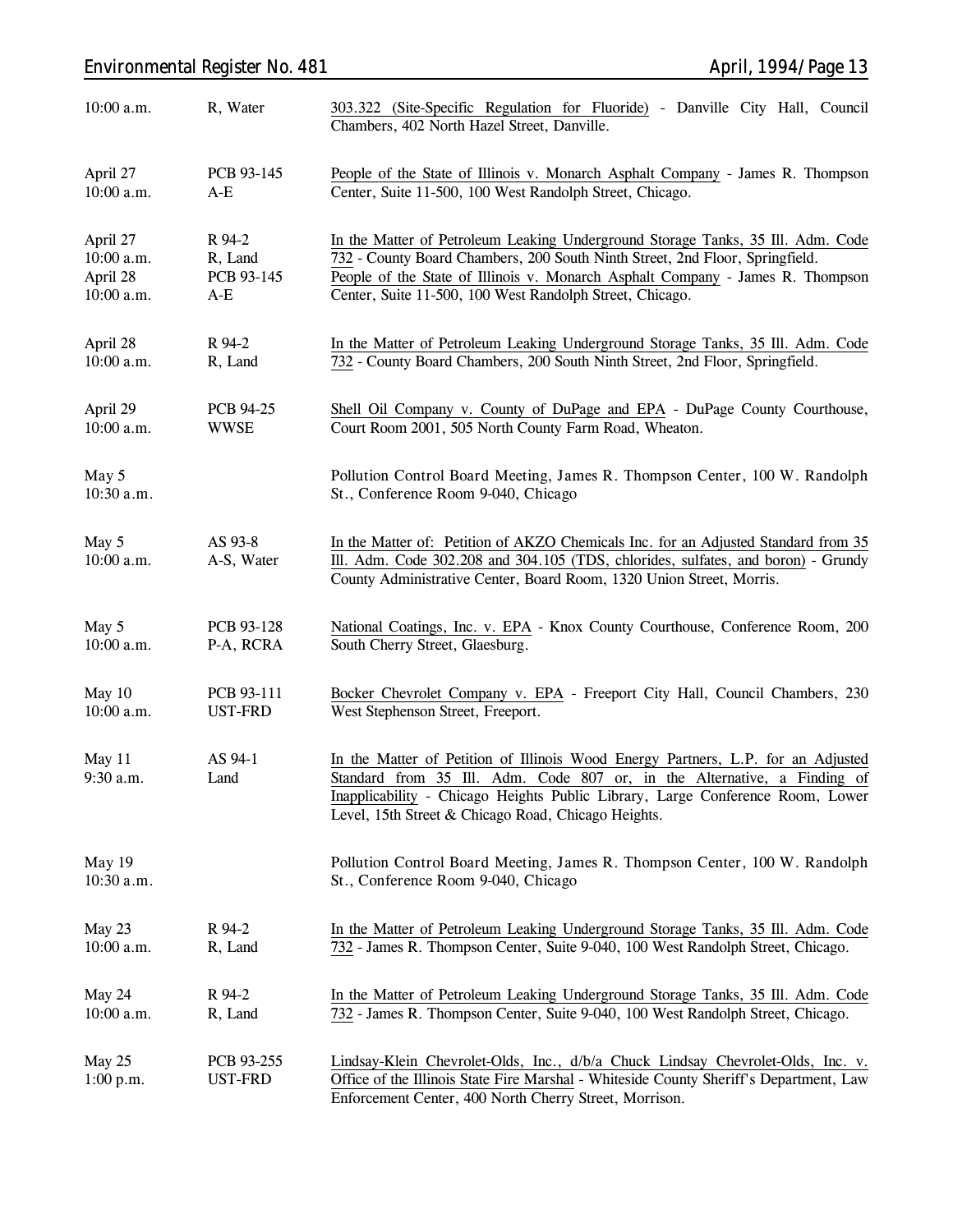# *Environmental Register No. 481 April, 1994/Page 13*

| $10:00$ a.m.          | R, Water                     | 303.322 (Site-Specific Regulation for Fluoride) - Danville City Hall, Council<br>Chambers, 402 North Hazel Street, Danville.                                                                                                                                                                          |
|-----------------------|------------------------------|-------------------------------------------------------------------------------------------------------------------------------------------------------------------------------------------------------------------------------------------------------------------------------------------------------|
| April 27              | PCB 93-145                   | People of the State of Illinois v. Monarch Asphalt Company - James R. Thompson                                                                                                                                                                                                                        |
| $10:00$ a.m.          | $A-E$                        | Center, Suite 11-500, 100 West Randolph Street, Chicago.                                                                                                                                                                                                                                              |
| April 27              | R 94-2                       | In the Matter of Petroleum Leaking Underground Storage Tanks, 35 Ill. Adm. Code                                                                                                                                                                                                                       |
| 10:00 a.m.            | R, Land                      | 732 - County Board Chambers, 200 South Ninth Street, 2nd Floor, Springfield.                                                                                                                                                                                                                          |
| April 28              | PCB 93-145                   | People of the State of Illinois v. Monarch Asphalt Company - James R. Thompson                                                                                                                                                                                                                        |
| $10:00$ a.m.          | $A-E$                        | Center, Suite 11-500, 100 West Randolph Street, Chicago.                                                                                                                                                                                                                                              |
| April 28              | R 94-2                       | In the Matter of Petroleum Leaking Underground Storage Tanks, 35 Ill. Adm. Code                                                                                                                                                                                                                       |
| $10:00$ a.m.          | R, Land                      | 732 - County Board Chambers, 200 South Ninth Street, 2nd Floor, Springfield.                                                                                                                                                                                                                          |
| April 29              | PCB 94-25                    | Shell Oil Company v. County of DuPage and EPA - DuPage County Courthouse,                                                                                                                                                                                                                             |
| 10:00 a.m.            | <b>WWSE</b>                  | Court Room 2001, 505 North County Farm Road, Wheaton.                                                                                                                                                                                                                                                 |
| May 5<br>$10:30$ a.m. |                              | Pollution Control Board Meeting, James R. Thompson Center, 100 W. Randolph<br>St., Conference Room 9-040, Chicago                                                                                                                                                                                     |
| May 5<br>10:00 a.m.   | AS 93-8<br>A-S, Water        | In the Matter of: Petition of AKZO Chemicals Inc. for an Adjusted Standard from 35<br>Ill. Adm. Code 302.208 and 304.105 (TDS, chlorides, sulfates, and boron) - Grundy<br>County Administrative Center, Board Room, 1320 Union Street, Morris.                                                       |
| May 5                 | PCB 93-128                   | National Coatings, Inc. v. EPA - Knox County Courthouse, Conference Room, 200                                                                                                                                                                                                                         |
| 10:00 a.m.            | P-A, RCRA                    | South Cherry Street, Glaesburg.                                                                                                                                                                                                                                                                       |
| May 10                | PCB 93-111                   | Bocker Chevrolet Company v. EPA - Freeport City Hall, Council Chambers, 230                                                                                                                                                                                                                           |
| $10:00$ a.m.          | UST-FRD                      | West Stephenson Street, Freeport.                                                                                                                                                                                                                                                                     |
| May 11<br>9:30 a.m.   | AS 94-1<br>Land              | In the Matter of Petition of Illinois Wood Energy Partners, L.P. for an Adjusted<br>Standard from 35 Ill. Adm. Code 807 or, in the Alternative, a Finding of<br>Inapplicability - Chicago Heights Public Library, Large Conference Room, Lower<br>Level, 15th Street & Chicago Road, Chicago Heights. |
| May 19<br>10:30 a.m.  |                              | Pollution Control Board Meeting, James R. Thompson Center, 100 W. Randolph<br>St., Conference Room 9-040, Chicago                                                                                                                                                                                     |
| May 23                | R 94-2                       | In the Matter of Petroleum Leaking Underground Storage Tanks, 35 Ill. Adm. Code                                                                                                                                                                                                                       |
| 10:00 a.m.            | R, Land                      | 732 - James R. Thompson Center, Suite 9-040, 100 West Randolph Street, Chicago.                                                                                                                                                                                                                       |
| May 24                | R 94-2                       | In the Matter of Petroleum Leaking Underground Storage Tanks, 35 Ill. Adm. Code                                                                                                                                                                                                                       |
| 10:00 a.m.            | R, Land                      | 732 - James R. Thompson Center, Suite 9-040, 100 West Randolph Street, Chicago.                                                                                                                                                                                                                       |
| May 25<br>1:00 p.m.   | PCB 93-255<br><b>UST-FRD</b> | Lindsay-Klein Chevrolet-Olds, Inc., d/b/a Chuck Lindsay Chevrolet-Olds, Inc. v.<br>Office of the Illinois State Fire Marshal - Whiteside County Sheriff's Department, Law<br>Enforcement Center, 400 North Cherry Street, Morrison.                                                                   |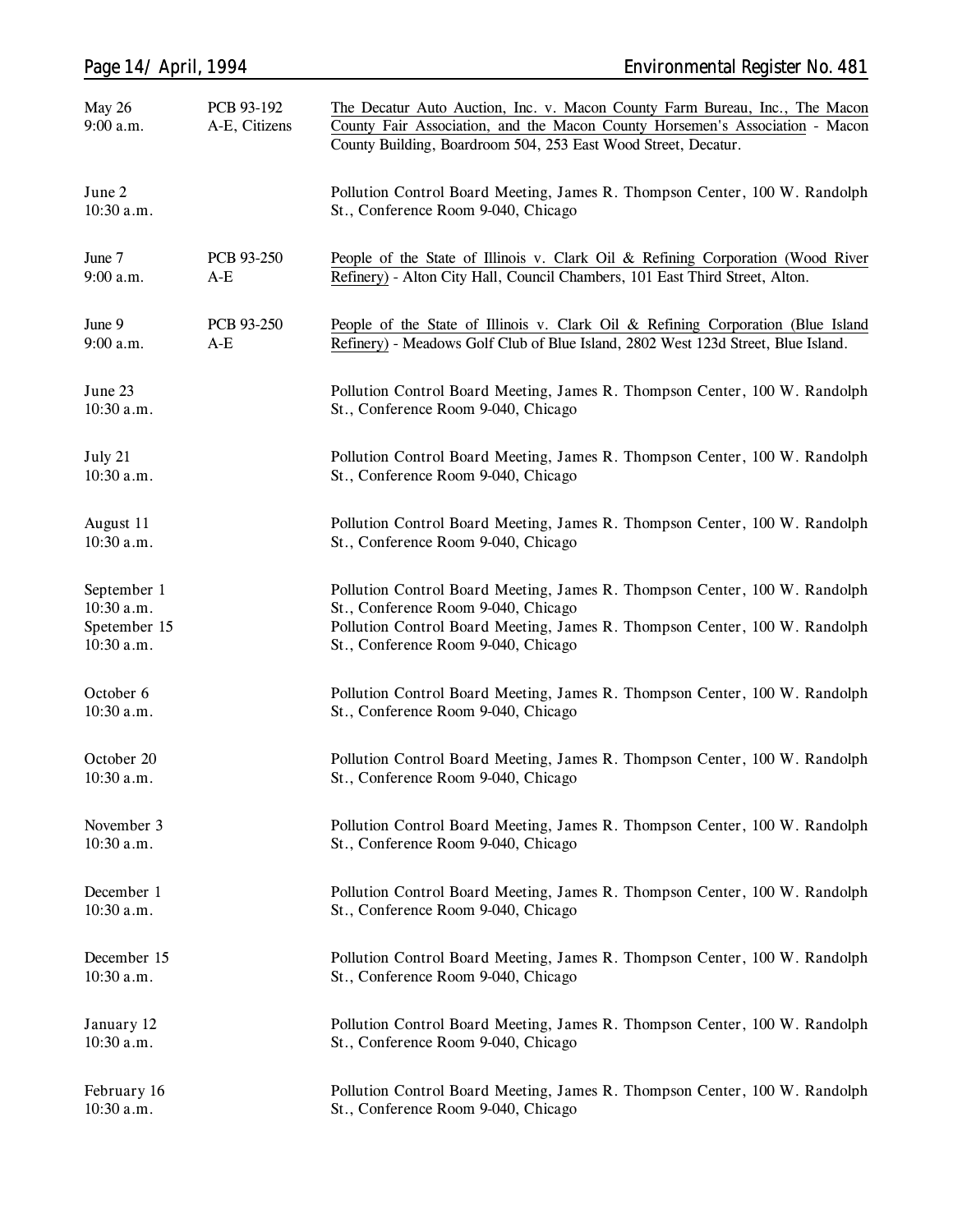| Page 14/ April, 1994                                    |                             | <b>Environmental Register No. 481</b>                                                                                                                                                                                                  |  |  |  |
|---------------------------------------------------------|-----------------------------|----------------------------------------------------------------------------------------------------------------------------------------------------------------------------------------------------------------------------------------|--|--|--|
| May 26<br>$9:00$ a.m.                                   | PCB 93-192<br>A-E, Citizens | The Decatur Auto Auction, Inc. v. Macon County Farm Bureau, Inc., The Macon<br>County Fair Association, and the Macon County Horsemen's Association - Macon<br>County Building, Boardroom 504, 253 East Wood Street, Decatur.          |  |  |  |
| June 2<br>10:30 a.m.                                    |                             | Pollution Control Board Meeting, James R. Thompson Center, 100 W. Randolph<br>St., Conference Room 9-040, Chicago                                                                                                                      |  |  |  |
| June 7<br>$9:00$ a.m.                                   | PCB 93-250<br>A-E           | People of the State of Illinois v. Clark Oil & Refining Corporation (Wood River<br>Refinery) - Alton City Hall, Council Chambers, 101 East Third Street, Alton.                                                                        |  |  |  |
| June 9<br>$9:00$ a.m.                                   | PCB 93-250<br>$A-E$         | People of the State of Illinois v. Clark Oil & Refining Corporation (Blue Island<br>Refinery) - Meadows Golf Club of Blue Island, 2802 West 123d Street, Blue Island.                                                                  |  |  |  |
| June 23<br>10:30 a.m.                                   |                             | Pollution Control Board Meeting, James R. Thompson Center, 100 W. Randolph<br>St., Conference Room 9-040, Chicago                                                                                                                      |  |  |  |
| July 21<br>$10:30$ a.m.                                 |                             | Pollution Control Board Meeting, James R. Thompson Center, 100 W. Randolph<br>St., Conference Room 9-040, Chicago                                                                                                                      |  |  |  |
| August 11<br>10:30 a.m.                                 |                             | Pollution Control Board Meeting, James R. Thompson Center, 100 W. Randolph<br>St., Conference Room 9-040, Chicago                                                                                                                      |  |  |  |
| September 1<br>10:30 a.m.<br>Spetember 15<br>10:30 a.m. |                             | Pollution Control Board Meeting, James R. Thompson Center, 100 W. Randolph<br>St., Conference Room 9-040, Chicago<br>Pollution Control Board Meeting, James R. Thompson Center, 100 W. Randolph<br>St., Conference Room 9-040, Chicago |  |  |  |
| October 6<br>10:30 a.m.                                 |                             | Pollution Control Board Meeting, James R. Thompson Center, 100 W. Randolph<br>St., Conference Room 9-040, Chicago                                                                                                                      |  |  |  |
| October 20<br>$10:30$ a.m.                              |                             | Pollution Control Board Meeting, James R. Thompson Center, 100 W. Randolph<br>St., Conference Room 9-040, Chicago                                                                                                                      |  |  |  |
| November 3<br>10:30 a.m.                                |                             | Pollution Control Board Meeting, James R. Thompson Center, 100 W. Randolph<br>St., Conference Room 9-040, Chicago                                                                                                                      |  |  |  |
| December 1<br>10:30 a.m.                                |                             | Pollution Control Board Meeting, James R. Thompson Center, 100 W. Randolph<br>St., Conference Room 9-040, Chicago                                                                                                                      |  |  |  |
| December 15<br>10:30 a.m.                               |                             | Pollution Control Board Meeting, James R. Thompson Center, 100 W. Randolph<br>St., Conference Room 9-040, Chicago                                                                                                                      |  |  |  |
| January 12<br>$10:30$ a.m.                              |                             | Pollution Control Board Meeting, James R. Thompson Center, 100 W. Randolph<br>St., Conference Room 9-040, Chicago                                                                                                                      |  |  |  |
| February 16<br>10:30 a.m.                               |                             | Pollution Control Board Meeting, James R. Thompson Center, 100 W. Randolph<br>St., Conference Room 9-040, Chicago                                                                                                                      |  |  |  |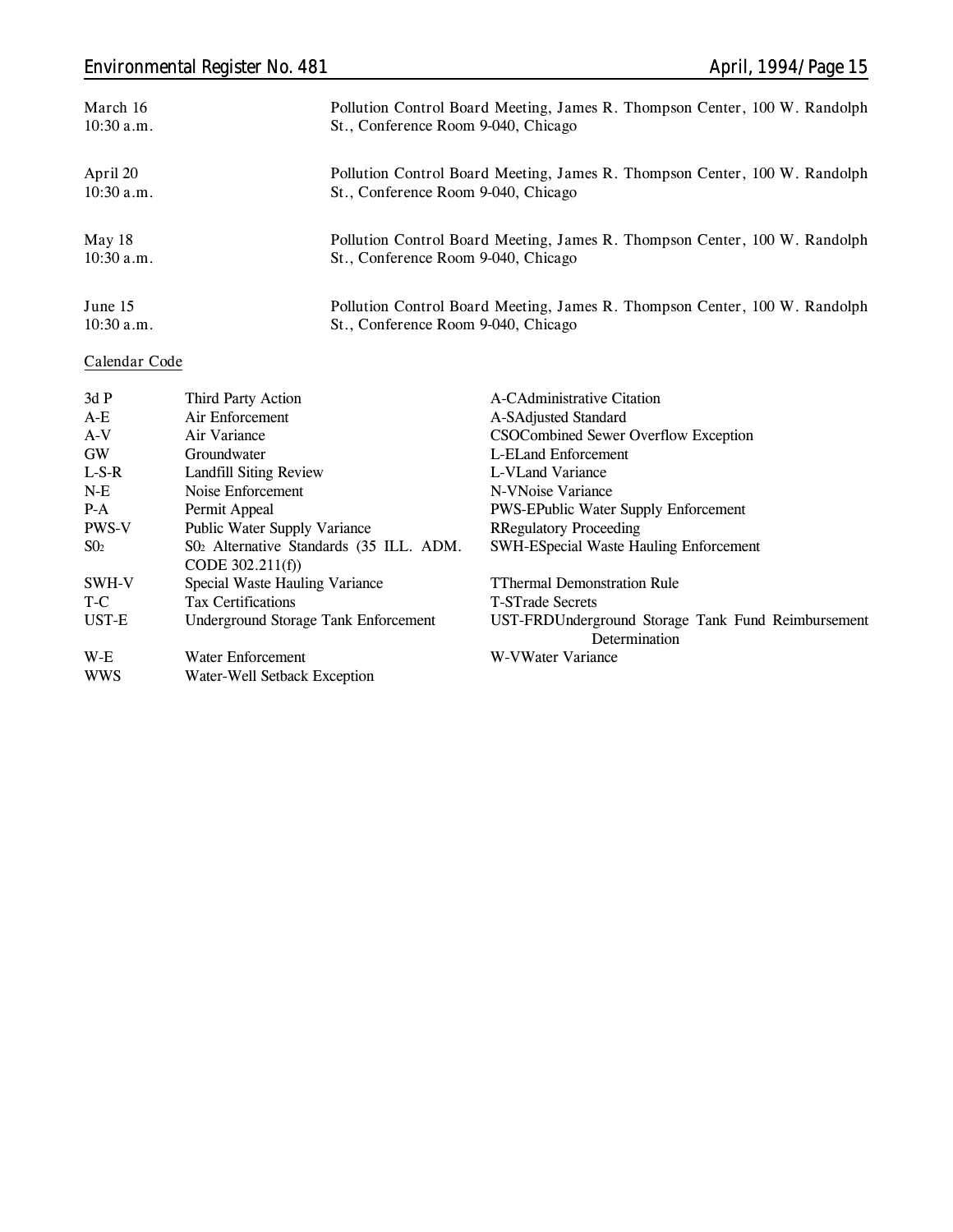# *Environmental Register No. 481 April, 1994/Page 15*

| March 16     | Pollution Control Board Meeting, James R. Thompson Center, 100 W. Randolph |
|--------------|----------------------------------------------------------------------------|
| $10:30$ a.m. | St., Conference Room 9-040, Chicago                                        |
| April 20     | Pollution Control Board Meeting, James R. Thompson Center, 100 W. Randolph |
| $10:30$ a.m. | St., Conference Room 9-040, Chicago                                        |
| May 18       | Pollution Control Board Meeting, James R. Thompson Center, 100 W. Randolph |
| $10:30$ a.m. | St., Conference Room 9-040, Chicago                                        |
| June 15      | Pollution Control Board Meeting, James R. Thompson Center, 100 W. Randolph |
| $10:30$ a.m. | St., Conference Room 9-040, Chicago                                        |

### **Calendar Code**

| 3dP          | Third Party Action                      | A-CAdministrative Citation                         |
|--------------|-----------------------------------------|----------------------------------------------------|
| $A-E$        | Air Enforcement                         | A-SAdjusted Standard                               |
| $A-V$        | Air Variance                            | CSOCombined Sewer Overflow Exception               |
| <b>GW</b>    | Groundwater                             | L-ELand Enforcement                                |
| $L-S-R$      | <b>Landfill Siting Review</b>           | L-VLand Variance                                   |
| $N-E$        | Noise Enforcement                       | N-VNoise Variance                                  |
| $P-A$        | Permit Appeal                           | <b>PWS-EPublic Water Supply Enforcement</b>        |
| <b>PWS-V</b> | Public Water Supply Variance            | <b>RRegulatory Proceeding</b>                      |
| $S_{02}$     | S02 Alternative Standards (35 ILL. ADM. | <b>SWH-ESpecial Waste Hauling Enforcement</b>      |
|              | CODE $302.211(f)$                       |                                                    |
| SWH-V        | Special Waste Hauling Variance          | <b>TThermal Demonstration Rule</b>                 |
| T-C          | <b>Tax Certifications</b>               | <b>T-STrade Secrets</b>                            |
| UST-E        | Underground Storage Tank Enforcement    | UST-FRDUnderground Storage Tank Fund Reimbursement |
|              |                                         | Determination                                      |
| W-E          | Water Enforcement                       | W-VWater Variance                                  |
| <b>WWS</b>   | Water-Well Setback Exception            |                                                    |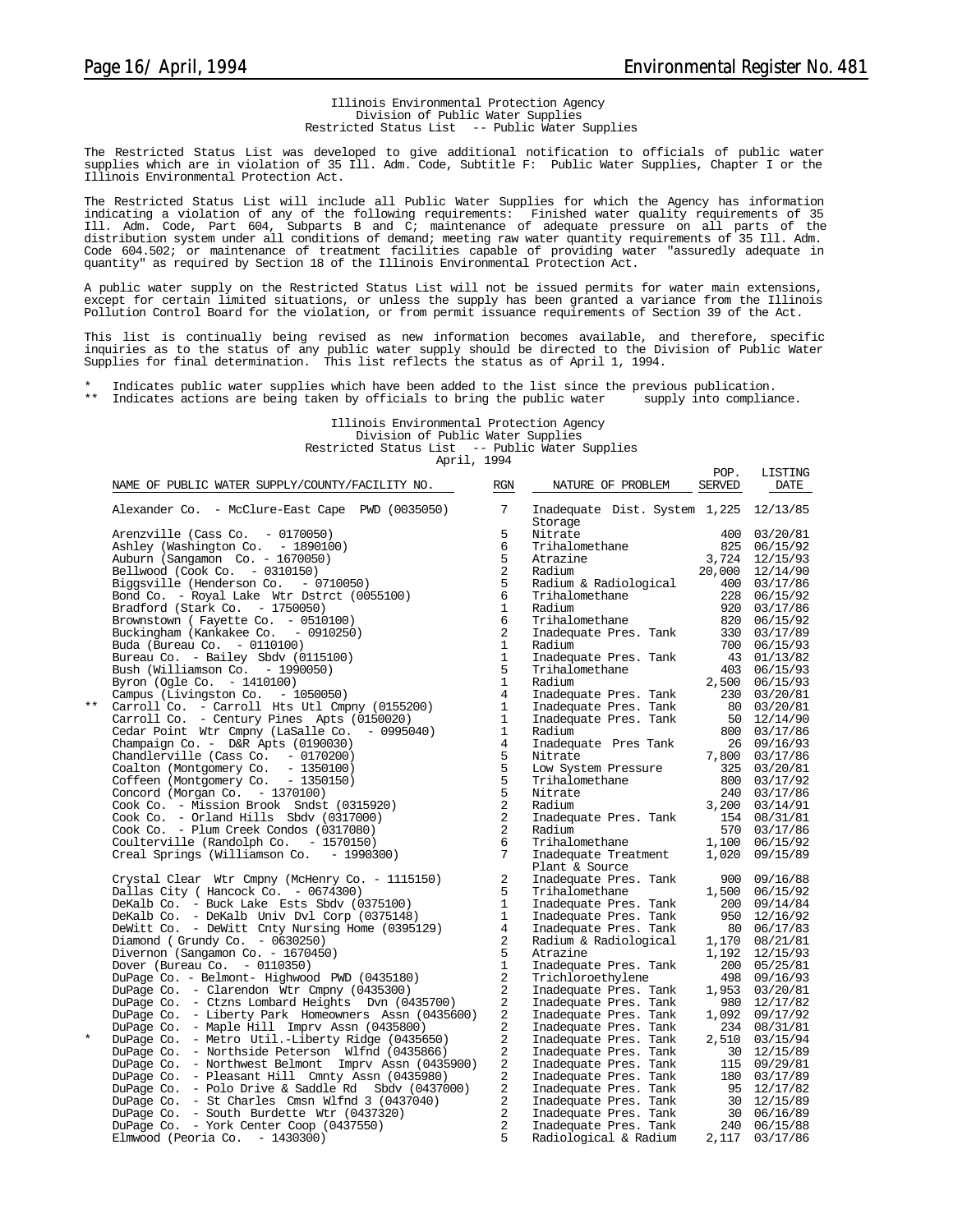POP. LISTING

#### Illinois Environmental Protection Agency Division of Public Water Supplies Restricted Status List -- Public Water Supplies

The Restricted Status List was developed to give additional notification to officials of public water supplies which are in violation of 35 Ill. Adm. Code, Subtitle F: Public Water Supplies, Chapter I or the Illinois Environmental Protection Act.

The Restricted Status List will include all Public Water Supplies for which the Agency has information indicating a violation of any of the following requirements: Finished water quality requirements of 35 Ill. Adm. Code, Part 604, Subparts B and C; maintenance of adequate pressure on all parts of the distribution system under all conditions of demand; meeting raw water quantity requirements of 35 Ill. Adm. Code 604.502; or maintenance of treatment facilities capable of providing water "assuredly adequate in quantity" as required by Section 18 of the Illinois Environmental Protection Act.

A public water supply on the Restricted Status List will not be issued permits for water main extensions, except for certain limited situations, or unless the supply has been granted a variance from the Illinois Pollution Control Board for the violation, or from permit issuance requirements of Section 39 of the Act.

This list is continually being revised as new information becomes available, and therefore, specific<br>inquiries as to the status of any public water supply should be directed to the Division of Public Water<br>Supplies for fin

\* Indicates public water supplies which have been added to the list since the previous publication. \*\* Indicates actions are being taken by officials to bring the public water supply into compliance.

Illinois Environmental Protection Agency Division of Public Water Supplies Restricted Status List -- Public Water Supplies April, 1994

|          | NAME OF PUBLIC WATER SUPPLY/COUNTY/FACILITY NO.     | RGN             | NATURE OF PROBLEM                                                                                                         | SERVED | DATE            |
|----------|-----------------------------------------------------|-----------------|---------------------------------------------------------------------------------------------------------------------------|--------|-----------------|
|          | Alexander Co. - McClure-East Cape PWD (0035050)     | $7\overline{ }$ | Inadequate Dist. System 1,225 12/13/85<br>Storage                                                                         |        |                 |
|          | Arenzville (Cass Co. $-0170050$ )                   | 5               | Nitrate                                                                                                                   |        | 400 03/20/81    |
|          | Ashley (Washington Co. - 1890100)                   | 6               | Trihalomethane                                                                                                            | 825    | 06/15/92        |
|          | Auburn (Sangamon Co. - 1670050)                     | 5               | Atrazine                                                                                                                  | 3,724  | 12/15/93        |
|          | Bellwood (Cook Co. - 0310150)                       | 2               | Radium                                                                                                                    |        | 20,000 12/14/90 |
|          | Biggsville (Henderson Co. - 0710050)                | 5               | Radium & Radiological                                                                                                     |        | 400 03/17/86    |
|          | Bond Co. - Royal Lake Wtr Dstrct (0055100)          | 6               | Trihalomethane                                                                                                            | 228    | 06/15/92        |
|          | Bradford (Stark Co. $-1750050$ )                    | $\mathbf{1}$    | Radium                                                                                                                    | 920    | 03/17/86        |
|          | Brownstown (Fayette Co. - 0510100)                  | 6               | Trihalomethane                                                                                                            |        | 820 06/15/92    |
|          | Buckingham (Kankakee Co. - 0910250)                 | 2               | Inadequate Pres. Tank                                                                                                     |        | 330 03/17/89    |
|          |                                                     | $\mathbf{1}$    | Radium                                                                                                                    |        | 700 06/15/93    |
|          | Buda (Bureau Co. - 0110100)                         | $\mathbf{1}$    |                                                                                                                           |        |                 |
|          | Bureau Co. - Bailey Sbdv (0115100)                  | 5               | Inadequate Pres. Tank                                                                                                     |        | 43 01/13/82     |
|          | Bush (Williamson Co. - 1990050)                     |                 | Trihalomethane                                                                                                            |        | 403 06/15/93    |
|          | Byron (Ogle Co. - 1410100)                          | $\mathbf{1}$    | Radium                                                                                                                    |        | 2,500 06/15/93  |
|          | Campus (Livingston Co. - 1050050)                   | $\overline{4}$  | Inadequate Pres. Tank                                                                                                     | 230    | 03/20/81        |
| $***$    | Carroll Co. - Carroll Hts Utl Cmpny (0155200)       | $\mathbf{1}$    | Inadequate Pres. Tank                                                                                                     |        | 80 03/20/81     |
|          | Carroll Co. - Century Pines Apts (0150020)          | $\mathbf{1}$    | Inadequate Pres. Tank                                                                                                     |        | 50 12/14/90     |
|          | Cedar Point Wtr Cmpny (LaSalle Co. - 0995040)       | $\mathbf{1}$    | Radium                                                                                                                    |        | 800 03/17/86    |
|          | Champaign Co. - D&R Apts (0190030)                  | $\overline{4}$  | Inadequate Pres Tank                                                                                                      |        | 26 09/16/93     |
|          | Chandlerville (Cass Co. $-0170200$ )                | $\mathsf S$     | Nitrate                                                                                                                   |        | 7,800 03/17/86  |
|          | Coalton (Montgomery Co. - 1350100)                  | $\overline{5}$  | Low System Pressure                                                                                                       | 325    | 03/20/81        |
|          | Coffeen (Montgomery Co. - 1350150)                  | 5               | Trihalomethane<br>Nitrate                                                                                                 |        | 800 03/17/92    |
|          | Concord (Morgan Co. - 1370100)                      | $\overline{5}$  | Nitrate                                                                                                                   | 240    | 03/17/86        |
|          | Cook Co. - Mission Brook Sndst (0315920)            | $\sqrt{2}$      | Radium                                                                                                                    |        | 3,200 03/14/91  |
|          | Cook Co. - Orland Hills Sbdv (0317000)              | 2               | Inadequate Pres. Tank                                                                                                     |        | 154 08/31/81    |
|          | Cook Co. - Plum Creek Condos (0317080)              | $\overline{a}$  | Radium                                                                                                                    |        | 570 03/17/86    |
|          | Coulterville (Randolph Co. - 1570150)               | 6               | Trihalomethane                                                                                                            | 1,100  | 06/15/92        |
|          | Creal Springs (Williamson Co. - 1990300)            | 7               | Inadequate Treatment                                                                                                      | 1,020  | 09/15/89        |
|          |                                                     |                 | Plant & Source                                                                                                            |        |                 |
|          | Crystal Clear Wtr Cmpny (McHenry Co. - 1115150)     | $\overline{a}$  | Inadequate Pres. Tank                                                                                                     |        | 900 09/16/88    |
|          | Dallas City ( Hancock Co. - 0674300)                | 5               | Trihalomethane                                                                                                            | 1,500  | 06/15/92        |
|          | DeKalb Co. - Buck Lake Ests Sbdy (0375100)          | $\mathbf{1}$    | Inadequate Pres. Tank                                                                                                     |        | 200 09/14/84    |
|          | DeKalb Co. - DeKalb Univ Dvl Corp (0375148)         | $\mathbf{1}$    | Inadequate Pres. Tank                                                                                                     |        | 950 12/16/92    |
|          | DeWitt Co. - DeWitt Cnty Nursing Home (0395129)     | $\overline{4}$  | Inadequate Pres. Tank                                                                                                     |        | 80 06/17/83     |
|          | Diamond (Grundy Co. $-0630250$ )                    | $\overline{2}$  | Radium & Radiological                                                                                                     | 1,170  | 08/21/81        |
|          | Divernon (Sangamon Co. - 1670450)                   | 5               | Atrazine                                                                                                                  | 1,192  | 12/15/93        |
|          | Dover (Bureau Co. $-0110350$ )                      | $\mathbf{1}$    | Inadequate Pres. Tank                                                                                                     |        | 200 05/25/81    |
|          | DuPage Co. - Belmont- Highwood PWD (0435180)        | $\overline{a}$  | Trichloroethylene                                                                                                         |        | 498 09/16/93    |
|          | DuPage Co. - Clarendon Wtr Cmpny (0435300)          | 2               | Inadequate Pres. Tank                                                                                                     | 1,953  | 03/20/81        |
|          | DuPage Co. - Ctzns Lombard Heights Dvn (0435700)    | 2               | Inadequate Pres. Tank                                                                                                     | 980    | 12/17/82        |
|          | DuPage Co. - Liberty Park Homeowners Assn (0435600) | $\overline{c}$  | Inadequate Pres. Tank                                                                                                     | 1,092  | 09/17/92        |
|          | DuPage Co. - Maple Hill Imprv Assn (0435800)        | 2               |                                                                                                                           |        | 234 08/31/81    |
| $^\star$ |                                                     | 2               | Inadequate Pres. Tank                                                                                                     |        |                 |
|          | DuPage Co. - Metro Util.-Liberty Ridge (0435650)    |                 | Inadequate Pres. Tank                                                                                                     |        | 2,510 03/15/94  |
|          | DuPage Co. - Northside Peterson Wlfnd (0435866)     | 2               | Inadequate Pres. Tank<br>Inadequate Pres. Tank<br>Inadequate Pres. Tank                                                   |        | 30 12/15/89     |
|          | DuPage Co. - Northwest Belmont Imprv Assn (0435900) | 2               |                                                                                                                           |        | 115 09/29/81    |
|          | DuPage Co. - Pleasant Hill Cmnty Assn (0435980)     | 2               |                                                                                                                           |        | 180 03/17/89    |
|          | DuPage Co. - Polo Drive & Saddle Rd Sbdv (0437000)  | $\overline{a}$  |                                                                                                                           |        | 95 12/17/82     |
|          | DuPage Co. - St Charles Cmsn Wlfnd 3 (0437040)      | 2               |                                                                                                                           |        | 30 12/15/89     |
|          | DuPage Co. - South Burdette Wtr (0437320)           | $\overline{a}$  |                                                                                                                           |        | 30 06/16/89     |
|          | DuPage Co. - York Center Coop (0437550)             | $\overline{a}$  | Inadequate Pres. Tank<br>Inadequate Pres. Tank<br>Inadequate Pres. Tank<br>Inadequate Pres. Tank<br>Inadequate Pres. Tank |        | 240 06/15/88    |
|          | Elmwood (Peoria Co. $-1430300$ )                    | 5               | Radiological & Radium                                                                                                     |        | 2,117 03/17/86  |
|          |                                                     |                 |                                                                                                                           |        |                 |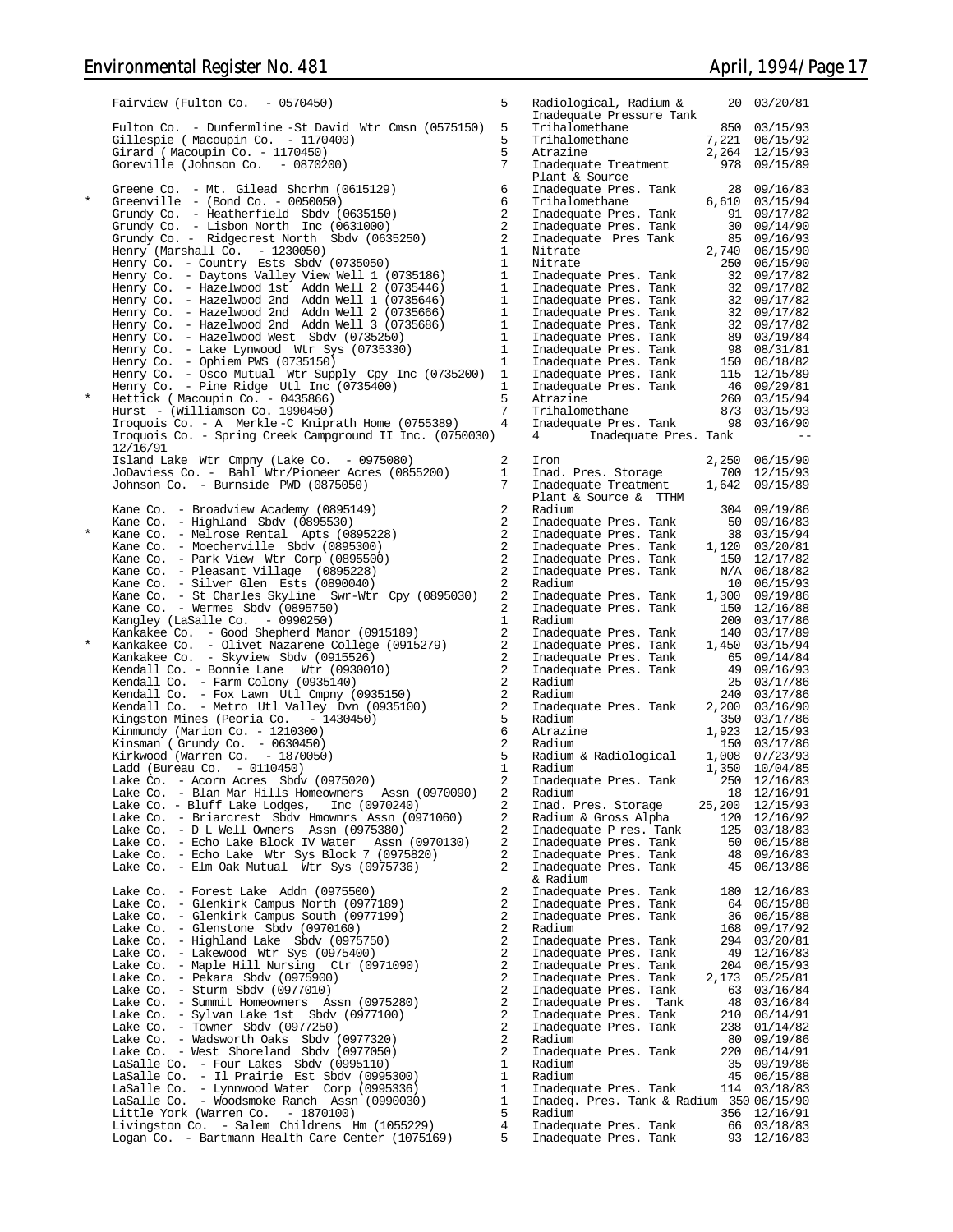|            | Fairview (Fulton Co. $-0570450$ )                                                                   | 5                   | Radiological, Radium &<br>Inadequate Pressure Tank                                                                                                                                                                                       |              | 20 03/20/81                     |
|------------|-----------------------------------------------------------------------------------------------------|---------------------|------------------------------------------------------------------------------------------------------------------------------------------------------------------------------------------------------------------------------------------|--------------|---------------------------------|
|            | Fulton Co. - Dunfermline -St David Wtr Cmsn (0575150)<br>Gillespie (Macoupin Co. - 1170400)         | 5<br>5              | Trihalomethane<br>Trihalomethane                                                                                                                                                                                                         | 7,221        | 850 03/15/93<br>06/15/92        |
|            | Girard (Macoupin Co. - 1170450)                                                                     | 5                   | Atrazine                                                                                                                                                                                                                                 |              | 2,264 12/15/93                  |
|            | Goreville (Johnson Co. - 0870200)                                                                   | 7                   | Inadequate Treatment<br>Plant & Source                                                                                                                                                                                                   |              | 978 09/15/89                    |
|            | Greene Co. - Mt. Gilead Shcrhm (0615129)                                                            | 6                   | Inadequate Pres. Tank                                                                                                                                                                                                                    |              | 28 09/16/83                     |
| $^{\star}$ | Greenville - $(Bond Co. - 0050050)$                                                                 | 6                   | Trihalomethane                                                                                                                                                                                                                           |              | $6,610$ $03/15/94$              |
|            | Grundy Co. - Heatherfield Sbdv (0635150)                                                            | 2<br>2              | Inadequate Pres. Tank                                                                                                                                                                                                                    |              | 91 09/17/82                     |
|            | Grundy Co. - Lisbon North Inc (0631000)<br>Grundy Co. - Ridgecrest North Sbdv (0635250)             | 2                   | Inadequate Pres. Tank<br>Inadequate Pres Tank                                                                                                                                                                                            |              | 30 09/14/90<br>85 09/16/93      |
|            | Henry (Marshall Co. $-1230050$ )                                                                    | $\mathbf{1}$        | Nitrate                                                                                                                                                                                                                                  | 2,740        | 06/15/90                        |
|            | Henry Co. - Country Ests Sbdv (0735050)                                                             | $\mathbf{1}$        | Nitrate                                                                                                                                                                                                                                  | 250          | 06/15/90                        |
|            | Henry Co. - Daytons Valley View Well 1 (0735186)                                                    | $\mathbf{1}$        | Inadequate Pres. Tank                                                                                                                                                                                                                    |              | 32 09/17/82                     |
|            | Henry Co. - Hazelwood 1st Addn Well 2 (0735446)<br>Henry Co. - Hazelwood 2nd Addn Well 1 (0735646)  | 1<br>1              | Inadequate Pres. Tank                                                                                                                                                                                                                    |              | 32 09/17/82                     |
|            | Henry Co. - Hazelwood 2nd Addn Well 2 (0735666)                                                     | 1                   |                                                                                                                                                                                                                                          |              |                                 |
|            | Henry Co. - Hazelwood 2nd Addn Well 3 (0735686)                                                     | 1                   |                                                                                                                                                                                                                                          |              |                                 |
|            | Henry Co. - Hazelwood West Sbdv (0735250)                                                           | 1                   |                                                                                                                                                                                                                                          |              |                                 |
|            | Henry Co. - Lake Lynwood Wtr Sys (0735330)<br>Henry Co. - Ophiem PWS (0735150)                      | 1<br>1              | madequate Pres. Tank and the madequate Pres. Tank 32 09/17/82<br>Inadequate Pres. Tank 32 09/17/82<br>Inadequate Pres. Tank 32 09/17/82<br>Inadequate Pres. Tank 32 09/17/82<br>Inadequate Pres. Tank 98 08/31/84<br>Inadequate Pres. Ta |              |                                 |
|            | Henry Co. - Osco Mutual Wtr Supply Cpy Inc (0735200)                                                | 1                   |                                                                                                                                                                                                                                          |              |                                 |
|            | Henry Co. - Pine Ridge Utl Inc (0735400)                                                            | 1                   |                                                                                                                                                                                                                                          |              |                                 |
| $\star$    | Hettick (Macoupin Co. - 0435866)                                                                    | 5                   |                                                                                                                                                                                                                                          |              |                                 |
|            | Hurst - (Williamson Co. 1990450)<br>Iroquois Co. - A Merkle-C Kniprath Home (0755389)               | 7<br>4              | Trihalomethane<br>Inadequate Pres. Tank 98 03/16/90                                                                                                                                                                                      |              | 873 03/15/93                    |
|            | Iroquois Co. - Spring Creek Campground II Inc. (0750030)                                            |                     | 4<br>Inadequate Pres. Tank                                                                                                                                                                                                               |              |                                 |
|            | 12/16/91                                                                                            |                     |                                                                                                                                                                                                                                          |              |                                 |
|            | Island Lake Wtr Cmpny (Lake Co. - 0975080)                                                          | 2<br>1              | Iron                                                                                                                                                                                                                                     | 2,250        | 06/15/90                        |
|            | JoDaviess Co. - Bahl Wtr/Pioneer Acres (0855200)<br>Johnson Co. - Burnside PWD (0875050)            | 7                   | Inad. Pres. Storage<br>Inadequate Treatment                                                                                                                                                                                              | 700<br>1,642 | 12/15/93<br>09/15/89            |
|            |                                                                                                     |                     | Plant & Source & TTHM                                                                                                                                                                                                                    |              |                                 |
|            | Kane Co. - Broadview Academy (0895149)                                                              | 2                   | Radium                                                                                                                                                                                                                                   |              | 304 09/19/86                    |
| $\star$    | Kane Co. - Highland Sbdv $(0895530)$                                                                | 2<br>2              | Inadequate Pres. Tank                                                                                                                                                                                                                    |              | 50 09/16/83                     |
|            | Kane Co. - Melrose Rental Apts (0895228)<br>Kane Co. - Moecherville Sbdv (0895300)                  | $\overline{a}$      | Inadequate Pres. Tank<br>Inadequate Pres. Tank                                                                                                                                                                                           |              | 38 03/15/94<br>1,120 03/20/81   |
|            | Kane Co. - Park View Wtr Corp (0895500)                                                             | 2                   | Inadequate Pres. Tank                                                                                                                                                                                                                    |              | 150 12/17/82                    |
|            | Kane Co. - Pleasant Village (0895228)                                                               | 2                   | Inadequate Pres. Tank                                                                                                                                                                                                                    |              | N/A 06/18/82                    |
|            | Kane Co. - Silver Glen Ests (0890040)<br>Kane Co. - St Charles Skyline Swr-Wtr Cpy (0895030)        | 2<br>2              | Radium<br>Inadequate Pres. Tank                                                                                                                                                                                                          | 1,300        | 10 06/15/93<br>09/19/86         |
|            | Kane Co. - Wermes Sbdv (0895750)                                                                    | 2                   | Inadequate Pres. Tank                                                                                                                                                                                                                    | 150          | 12/16/88                        |
|            | Kangley (LaSalle Co. - 0990250)                                                                     | $\mathbf{1}$        | Radium                                                                                                                                                                                                                                   |              | 200 03/17/86                    |
|            | Kankakee Co. - Good Shepherd Manor (0915189)                                                        | 2                   | Inadequate Pres. Tank                                                                                                                                                                                                                    |              | 140 03/17/89                    |
|            | Kankakee Co. - Olivet Nazarene College (0915279)<br>Kankakee Co. - Skyview Sbdv (0915526)           | 2<br>2              | Inadequate Pres. Tank<br>Inadequate Pres. Tank                                                                                                                                                                                           | 1,450        | 03/15/94<br>65 09/14/84         |
|            | Kendall Co. - Bonnie Lane Wtr (0930010)                                                             | $\overline{a}$      | Inadequate Pres. Tank                                                                                                                                                                                                                    |              | 49 09/16/93                     |
|            | Kendall Co. - Farm Colony (0935140)                                                                 | $\boldsymbol{2}$    | Radium                                                                                                                                                                                                                                   |              | 25 03/17/86                     |
|            | Kendall Co. - Fox Lawn Utl Cmpny (0935150)<br>Kendall Co. - Metro Utl Valley Dvn (0935100)          | 2<br>2              | Radium<br>Inadequate Pres. Tank 2,200                                                                                                                                                                                                    |              | 240 03/17/86<br>03/16/90        |
|            | Kingston Mines (Peoria Co. - 1430450)                                                               | 5                   | Radium                                                                                                                                                                                                                                   | 350          | 03/17/86                        |
|            | Kinmundy (Marion Co. - 1210300)                                                                     | 6                   | Atrazine                                                                                                                                                                                                                                 | 1,923        | 12/15/93                        |
|            | Kinsman (Grundy Co. - $0630450$ )                                                                   | $\overline{a}$<br>5 | Radium                                                                                                                                                                                                                                   |              | 150 03/17/86                    |
|            | Kirkwood (Warren Co. - 1870050)<br>Ladd (Bureau Co. $-0110450$ )                                    | $\mathbf{1}$        | Radium & Radiological 1,008<br>Radium                                                                                                                                                                                                    | 1,350        | 07/23/93<br>10/04/85            |
|            | Lake Co. - Acorn Acres Sbdv (0975020)                                                               | 2                   | Inadequate Pres. Tank                                                                                                                                                                                                                    | 250          | 12/16/83                        |
|            | Lake Co. - Blan Mar Hills Homeowners Assn (0970090)                                                 | 2                   | Radium                                                                                                                                                                                                                                   |              | 18 12/16/91                     |
|            | Inc (0970240)<br>Lake Co. - Bluff Lake Lodges,<br>Lake Co. - Briarcrest Sbdv Hmownrs Assn (0971060) | 2<br>2              | Inad. Pres. Storage<br>Radium & Gross Alpha                                                                                                                                                                                              |              | 25,200 12/15/93<br>120 12/16/92 |
|            | Lake Co. - D L Well Owners Assn $(0975380)$                                                         | 2                   | Inadequate P res. Tank                                                                                                                                                                                                                   |              | 125 03/18/83                    |
|            | Lake Co. - Echo Lake Block IV Water Assn (0970130)                                                  | 2                   | Inadequate Pres. Tank                                                                                                                                                                                                                    |              | 50 06/15/88                     |
|            | Lake Co. - Echo Lake Wtr Sys Block 7 (0975820)<br>Lake Co. - Elm Oak Mutual Wtr Sys (0975736)       | 2<br>2              | Inadequate Pres. Tank<br>Inadequate Pres. Tank                                                                                                                                                                                           | 45           | 48 09/16/83<br>06/13/86         |
|            |                                                                                                     |                     | & Radium                                                                                                                                                                                                                                 |              |                                 |
|            | Lake Co. - Forest Lake Addn (0975500)                                                               | 2                   | Inadequate Pres. Tank                                                                                                                                                                                                                    |              | 180 12/16/83                    |
|            | Lake Co. - Glenkirk Campus North (0977189)                                                          | 2                   | Inadequate Pres. Tank                                                                                                                                                                                                                    |              | 64 06/15/88                     |
|            | Lake Co. - Glenkirk Campus South (0977199)<br>Lake Co. - Glenstone Sbdv $(0970160)$                 | 2<br>2              | Inadequate Pres. Tank<br>Radium                                                                                                                                                                                                          |              | 36 06/15/88<br>168 09/17/92     |
|            | Lake Co. - Highland Lake Sbdy (0975750)                                                             | 2                   | Inadequate Pres. Tank                                                                                                                                                                                                                    |              | 294 03/20/81                    |
|            | Lake Co. - Lakewood Wtr Sys (0975400)                                                               | 2                   | Inadequate Pres. Tank                                                                                                                                                                                                                    | 49           | 12/16/83                        |
|            | Lake Co. - Maple Hill Nursing Ctr (0971090)                                                         | 2                   | Inadequate Pres. Tank                                                                                                                                                                                                                    |              | 204 06/15/93                    |
|            | Lake Co. - Pekara Sbdy (0975900)<br>Lake Co. - Sturm Sbdv (0977010)                                 | 2<br>2              | Inadequate Pres. Tank<br>Inadequate Pres. Tank                                                                                                                                                                                           | 2,173        | 05/25/81<br>63 03/16/84         |
|            | Lake Co. - Summit Homeowners Assn (0975280)                                                         | 2                   | Inadequate Pres.<br>Tank                                                                                                                                                                                                                 |              | 48 03/16/84                     |
|            | Lake Co. - Sylvan Lake 1st Sbdv (0977100)                                                           | 2                   | Inadequate Pres. Tank                                                                                                                                                                                                                    |              | 210 06/14/91                    |
|            | Lake Co. - Towner Sbdv (0977250)<br>Lake Co. - Wadsworth Oaks Sbdv (0977320)                        | 2<br>2              | Inadequate Pres. Tank<br>Radium                                                                                                                                                                                                          |              | 238 01/14/82<br>80 09/19/86     |
|            | Lake Co. - West Shoreland Sbdv (0977050)                                                            | 2                   | Inadequate Pres. Tank                                                                                                                                                                                                                    | 220          | 06/14/91                        |
|            | LaSalle Co. - Four Lakes Sbdv (0995110)                                                             | $\mathbf{1}$        | Radium                                                                                                                                                                                                                                   | 35           | 09/19/86                        |
|            | LaSalle Co. - Il Prairie Est Sbdv (0995300)                                                         | $\mathbf{1}$        | Radium                                                                                                                                                                                                                                   |              | 45 06/15/88                     |
|            | LaSalle Co. - Lynnwood Water Corp (0995336)<br>LaSalle Co. - Woodsmoke Ranch Assn (0990030)         | $\mathbf{1}$<br>1   | Inadequate Pres. Tank<br>Inadeq. Pres. Tank & Radium $35006/15/90$                                                                                                                                                                       |              | 114 03/18/83                    |
|            | Little York (Warren Co. - 1870100)                                                                  | 5                   | Radium                                                                                                                                                                                                                                   |              | 356 12/16/91                    |
|            | Livingston Co. - Salem Childrens Hm (1055229)                                                       | $\overline{4}$      | Inadequate Pres. Tank                                                                                                                                                                                                                    |              | 66 03/18/83                     |
|            | Logan Co. - Bartmann Health Care Center (1075169)                                                   | 5                   | Inadequate Pres. Tank                                                                                                                                                                                                                    |              | 93 12/16/83                     |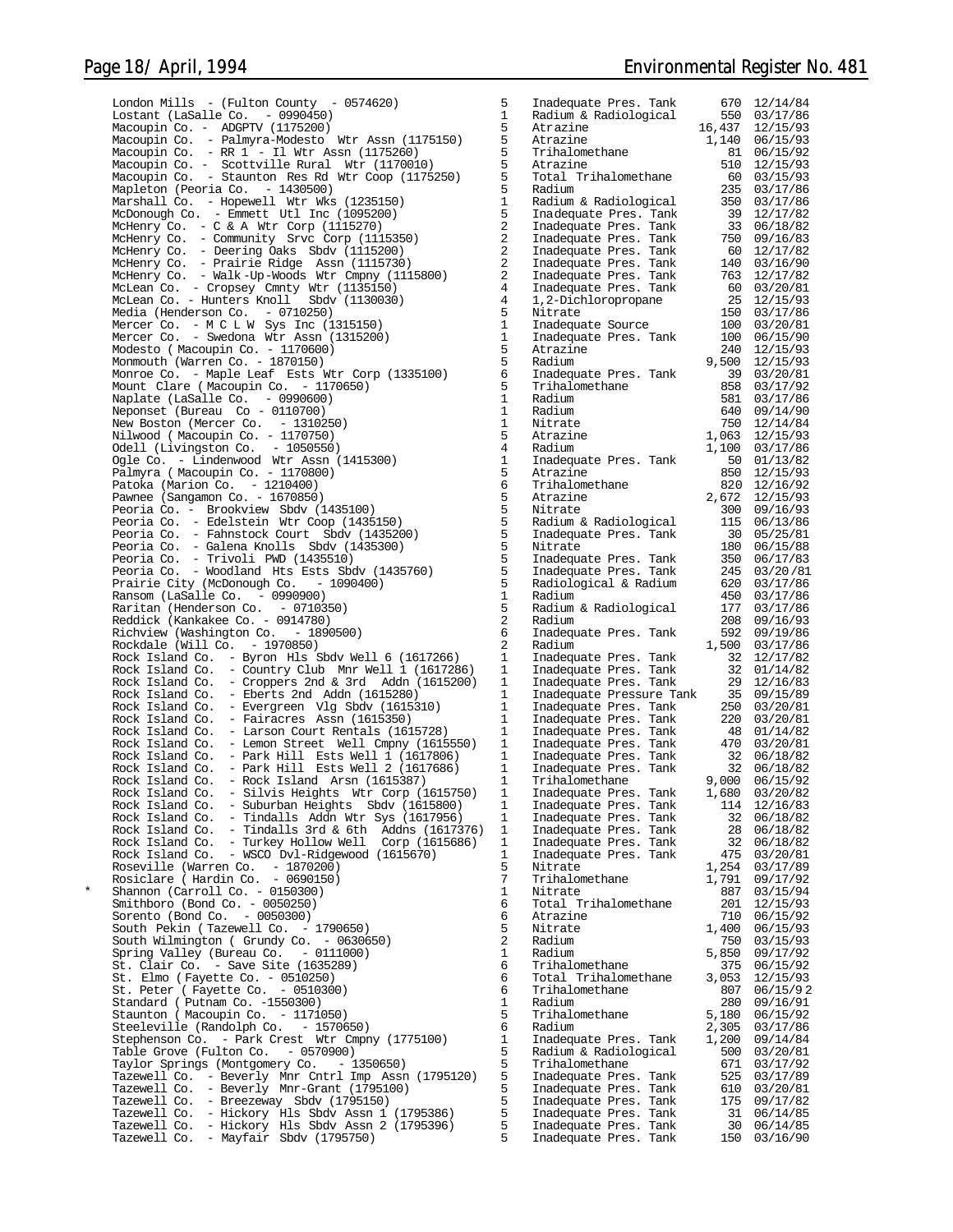London Mills - (Fulton County -  $0574620$ ) 5 Lostant (LaSalle Co. - 0990450) 1 1 Radiological 550 03/17/860 03/17/860 03/17/860 03/17/860 03/17/860 03/17/8<br>Macquipin Co. - ADGPTV (1175200) Macoupin Co. - ADGPTV (1175200) 5 Atrazine 16,437 12/15/93 Macoupin Co. - Palmyra-Modesto Wtr Assn (1175150) 5 Atrazine 1,140 06/15/93 Macoupin Co. - RR 1 - Il Wtr Assn (1175260) 5<br>Macoupin Co. - RR 1 - Il Wtr Assn (1175260) 5<br>Macoupin Co. - Scottville Rural Wtr (1170010) 5 Macoupin Co. - Scottville Rural Wtr (1170010) 5<br>Macoupin Co. - Staunton Res Rd Wtr Coop (1175250) 5 Macoupin Co. - Staunton Res Rd Wtr Coop (1175250) 5<br>Mapleton (Peoria Co. - 1430500) 5 Mapleton (Peoria Co. – 1430500)<br>Marshall Co. – Hopewell Wtr Wks (1235150) Radium & Radiological 350 03/17/86<br>McDonough Co. – Emmett Utl Inc (1095200) 5 Inadequa McHenry Co. - C & A Wtr Corp (1115270) 2 Inadequate Pres. Tank 33 06/18/82 McHenry Co. - Community Srvc Corp (1115350) 2 Inadequate Pres. Tank 750 09/16/83 McHenry Co. - Deering Oaks Sbdv (1115200) 2<br>McHenry Co. - Prairie Ridge Assn (1115730) 2 McHenry Co. - Prairie Ridge Assn (1115730) 2 Inadequate Pres. Tank 140 03/16/90 McHenry Co. - Walk -Up-Woods Wtr Cmpny (1115800) 2 Inadequate Pres. Tank 763 12/17/82 McLean Co. - Cropsey Cmnty Wtr (1135150) 4 Inadequate Pres. Tank 60 03/20/81 McLean Co. - Hunters Knoll Sbdv (1130030) 4 1,2-Dichloropropane 25 12/15/93 Media (Henderson Co. - 0710250) 5<br>Mercer Co. - M C L W Sys Inc (1315150) 1 Mercer Co. - M C L W Sys Inc (1315150) 1 Inadequate Source 100 03/20/81 Mercer Co. - Swedona Wtr Assn (1315200) 1 Inadequate Pres. Tank 100 06/15/90 Modesto ( Macoupin Co. - 1170600) 5 Atrazine 240 12/15/93 Monmouth (Warren Co. - 1870150) 5 Radium 9,500 12/15/93 Monroe Co. - Maple Leaf Ests Wtr Corp (1335100) 6<br>Mount Clare (Macoupin Co. - 1170650) 5 Mount Clare ( Macoupin Co. - 1170650)  $\overline{5}$ <br>Naplate ( LaSalle Co. - 0990600)  $\overline{1}$ Naplate (LaSalle Co. - 0990600) 1 Radium 581 03/17/86 Neponset (Bureau Co - 0110700) 1 Radium 640 09/14/90 New Boston (Mercer Co. - 1310250) 1 Nitrate 750 12/14/84 Nilwood ( Macoupin Co. - 1170750) 5 Atrazine 1,063 12/15/93 0dell (Livingston Co. - 1050550) 4<br>1,000 e Co. - Lindenwood Wir Assn (1415300) 4 Ogle Co. - Lindenwood Wtr Assn (1415300) 1<br>Palmyra (Macoupin Co. - 1170800) 15 Palmyra ( Macoupin Co. - 1170800)<br>Patoka (Marion Co. - 1210400) 6 Patoka (Marion Co. - 1210400) 6 Trihalomethane 820 12/16/92 Pawnee (Sangamon Co. - 1670850) 5 Atrazine 2,672 12/15/93 Peoria Co. - Brookview Sbdv (1435100)<br>Peoria Co. - Edelstein Wtr Coop (1435150) 5 Peoria Co. - Edelstein Wtr Coop (1435150) 5 Radium & Radiological 115 06/13/86 Peoria Co. - Fahnstock Court Sbdv (1435200) 5 Inadequate Pres. Tank 30 05/25/81 Peoria Co. - Galena Knolls Sbdv (1435300) 5 Nitrate 180 06/15/88 Peoria Co. - Trivoli PWD (1435510) 5 Inadequate Pres. Tank 350 06/17/83 Peoria Co. - Woodland Hts Ests Sbdv (1435760) 5<br>Prairie City (McDonough Co. - 1090400) 5 Prairie City (McDonough Co. - 1090400) 5 Radiological & Radium 620 03/17/86 Ransom (LaSalle Co. - 0990900) 1 Radium 450 03/17/86 Raritan (Henderson Co. - 0710350) 5 Radium & Radiological 177 03/17/86 Reddick (Kankakee Co. - 0914780) 2 Radium 208 09/16/93 Richview (Washington Co. - 1890500) 6<br>Rockdale (Will Co. - 1970850) 2 Rockdale (Will Co. - 1970850) 2 Radium 1,500 03/17/86<br>Rock Island Co. - Byron Hls Sbdv Well 6 (1617266) 1 Inadequate Pres. Tank 32 12/17/82<br>Rock Island Co. - Country Club Mnr Well 1 (1617286) 1 Inadequate Pres. Tank 32 01/ Rock Island Co. – Evergreen Vlg Sbdv (1615310) Inadequate Pres. Tank 250 03/20/81<br>Rock Island Co. – Fairacres Assn (1615350) Inadequate Pres. Tank 220 03/20/ Rock Island Co. - Larson Court Rentals (1615728) 1<br>Rock Island Co. - Lemon Street Well Cmpny (1615550) 1 Rock Island Co. - Lemon Street Well Cmpny (1615550) 1<br>Rock Island Co. - Park Hill Ests Well 1 (1617806) 1 Rock Island Co. - Park Hill Ests Well 1 (1617806) 1 Inadequate Pres. Tank 32 06/18/82 Rock Island Co. - Park Hill Ests Well 2 (1617686) 1 Inadequate Pres. Tank 32 06/18/82 Rock Island Co. - Rock Island Arsn (1615387) 1<br>Rock Island Co. - Silvis Heights Wir Corp (1615750) 1 Rock Island Co. - Silvis Heights Wtr Corp (1615750) 1<br>Rock Island Co. - Suburban Heights Sbdy (1615800) 1 Rock Island Co. - Suburban Heights Sbdv (1615800) 1 Inadequate Pres. Tank 114 12/16/83 Rock Island Co. - Tindalls Addn Wtr Sys (1617956) 1 Inadequate Pres. Tank 32 06/18/82 Rock Island Co. - Tindalls 3rd & 6th Addns (1617376) 1 Inadequate Pres. Tank 28 06/18/82 Rock Island Co. - Turkey Hollow Well Corp (1615686) 1 Inadequate Pres. Tank 32 06/18/82 Rock Island Co. - WSCO Dvl-Ridgewood (1615670)<br>Rock Island Co. - WSCO Dvl-Ridgewood (1615670)<br>Roseville (Warren Co. - 1870200) Roseville (Warren Co. - 1870200) 5 Nitrate 1,254 03/17/89 Rosiclare ( Hardin Co. - 0690150) 7 Trihalomethane 1,791 09/17/92 \* Shannon (Carroll Co. - 0150300) 1 Nitrate 887 03/15/94 Smithboro (Bond Co. - 0050250) 6 Total Trihalomethane 201 12/15/93 Sorento (Bond Co. - 0050300) 6 Atrazine 710 06/15/92 South Pekin (Tazewell Co. - 1790650)<br>South Wilmington ( Grundy Co. - 0630650) 3 South Wilmington ( Grundy Co. - 0630650) 2<br>Spring Valley (Bureau Co. - 0111000) 1 Spring Valley (Bureau Co. - 0111000) 1<br>St. Clair Co. - Save Site (1635289) 6 St. Clair Co. - Save Site (1635289) 6<br>St. Elmo (Fayette Co. - 0510250) 66 St. Elmo ( Fayette Co. - 0510250)<br>St. Peter ( Fayette Co. - 0510300) 6 St. Peter ( Fayette Co. - 0510300) 6<br>Standard ( Putnam Co. -1550300) 1 Standard ( Putnam Co. -1550300) 1<br>Staunton ( Macqupin Co. - 1171050) 5 Staunton ( Macoupin Co. - 1171050) 5 Trihalomethane 5,180 06/15/92 Steeleville (Randolph Co. - 1570650) 6 Radium 2,305 03/17/86 Stephenson Co. - Park Crest Wtr Cmpny (1775100) 1 Inadequate Pres. Tank 1,200 09/14/84 Table Grove (Fulton Co. - 0570900) 5<br>Taylor Springs (Montgomery Co. - 1350650) 500 03 Taylor Springs (Montgomery Co. - 1350650)<br>
Tazewell Co. - Beverly Mnr Chtrl Imp Assn (1795120) 5 Inadequate Pres. Tank 525 03/17/89<br>
Tazewell Co. - Beverly Mnr-Grant (1795100) 5 Inadequate Pres. Tank 525 03/17/89<br>
Tazewell

| Inadequate Pres. Tank                        | 670                   | 12/14/84             |
|----------------------------------------------|-----------------------|----------------------|
| Radium & Radiological                        | 550                   | 03/17/86             |
| Atrazine                                     | 16,437                | 12/15/93             |
| Atrazine                                     | 1,140                 | 06/15/93             |
| Trihalomethane                               | 81                    | 06/15/92             |
| Atrazine                                     | 510                   | 12/15/93             |
| Total Trihalomethane                         | 60                    | 03/15/93             |
| Radium                                       | 235                   | 03/17/86             |
| Radium & Radiological                        | 350                   | 03/17/86             |
| Inadequate Pres.<br>Tank                     | 39                    | 12/17/82             |
| Inadequate Pres.<br>Tank                     | 33                    | 06/18/82             |
| Tank                                         | 750                   | 09/16/83             |
| Inadequate Pres.                             | 60                    | 12/17/82             |
| Inadequate Pres.<br>Tank<br>Inadequate Pres. | 140                   |                      |
| Tank                                         | 763                   | 03/16/90             |
| Inadequate Pres.<br>Tank                     |                       | 12/17/82             |
| Inadequate Pres.<br>Tank                     | 60                    | 03/20/81             |
| 1,2-Dichloropropane                          | 25                    | 12/15/93             |
| Nitrate                                      | 150                   | 03/17/86             |
| Inadequate Source                            | 100                   | 03/20/81             |
| Inadequate Pres. Tank                        | 100                   | 06/15/90             |
| Atrazine                                     | 240                   | 12/15/93             |
| Radium                                       | 9,500                 | 12/15/93             |
| Inadequate Pres.<br>Tank                     | 39                    | 03/20/81             |
| Trihalomethane                               | 858                   | 03/17/92             |
| Radium                                       | 581                   | 03/17/86             |
| Radium                                       | 640                   | 09/14/90             |
| Nitrate                                      | 750                   | 12/14/84             |
| Atrazine                                     | 1,063                 | 12/15/93             |
| Radium                                       | 1,100                 | 03/17/86             |
| Inadequate Pres.                             |                       |                      |
| Tank<br>Atrazine                             | 50                    | 01/13/82             |
|                                              | 850                   | 12/15/93             |
| Trihalomethane                               | 820                   | 12/16/92             |
| Atrazine                                     | 2,672                 | 12/15/93             |
| Nitrate                                      | 300                   | 09/16/93             |
| Radium & Radiological                        | 115                   | 06/13/86             |
| Inadequate Pres.<br>Tank                     | 30                    | 05/25/81             |
| Nitrate                                      | 180                   | 06/15/88             |
| Inadequate Pres.<br>Tank                     | 350                   | 06/17/83             |
| Inadequate Pres.<br>Tank                     | 245                   | 03/20/81             |
| Radiological & Radium                        | 620                   | 03/17/86             |
| Radium                                       | 450                   | 03/17/86             |
| Radium & Radiological                        | 177                   | 03/17/86             |
| Radium                                       | 208                   | 09/16/93             |
| Inadequate Pres.<br>Tank                     | 592                   | 09/19/86             |
| Radium                                       | 1,500                 | 03/17/86             |
| Inadequate<br>Tank<br>Pres.                  | 32                    | 12/17/82             |
|                                              | 32                    |                      |
| Inadequate Pres.<br>Tank                     |                       | 01/14/82             |
| Tank<br>Inadequate Pres.                     | 29                    | 12/16/83             |
| Inadequate Pressure Tank                     | 35                    | 09/15/89             |
| Inadequate Pres.<br>Tank                     | 250                   | 03/20/81             |
| Tank<br>Inadequate Pres.                     | 220                   | 03/20/81             |
| Inadequate Pres.<br>Tank                     | 48                    | 01/14/82             |
| Inadequate Pres.<br>Tank                     | 470                   | 03/20/81             |
| Inadequate Pres.<br>Tank                     | 32                    | 06/18/82             |
| Inadequate Pres.<br>Tank                     | 32                    | 06/18/82             |
| Trihalomethane                               | 9,000                 | 06/15/92             |
| Tank<br>Inadequate Pres.                     | 1,680                 | 03/20/82             |
| Tank<br>Inadequate Pres.                     | 114                   | 12/16/83             |
| Inadequate Pres.<br>Tank                     | 32                    | 06/18/82             |
| Inadequate Pres.<br>Tank                     | 28                    | 06/18/82             |
| Inadequate Pres.<br>Tank                     | 32                    | 06/18/82             |
| Inadequate Pres.<br>Tank                     | 475                   | 03/20/81             |
| Nitrate                                      | 1,254                 | 03/17/89             |
| Trihalomethane                               | 1,791                 | 09/17/92             |
|                                              |                       | 03/15/94             |
| Nitrate                                      | 887                   |                      |
| Total Trihalomethane                         | 201                   | 12/15/93             |
| Atrazine                                     | 710                   | 06/15/92             |
| Nitrate                                      | 1,400                 | 06/15/93             |
| Radium                                       | 750                   | 03/15/93             |
| Radium                                       | 5,850                 | 09/17/92             |
| Trihalomethane                               | 375                   | 06/15/92             |
| Total Trihalomethane                         | 3,053                 | 12/15/93             |
| Trihalomethane                               | 807                   | 06/15/92             |
| Radium                                       | 280                   | 09/16/91             |
| Trihalomethane                               | 5,180                 | 06/15/92             |
| Radium                                       | 2,305                 | 03/17/86             |
| Inadequate Pres. Tank                        | 1,200                 | 09/14/84             |
| Radium & Radiological                        | 500                   | 03/20/81             |
| Trihalomethane                               | 671                   | 03/17/92             |
| Inadequate Pres.<br>Tank                     | 525                   | 03/17/89             |
| Inadequate Pres.<br>Tank                     | 610                   | 03/20/81             |
| Inadequate Pres.<br>Tank                     | 175                   | 09/17/82             |
|                                              | 31                    | 06/14/85             |
| Inadequate Pres.<br>Tank                     |                       |                      |
| Inadequate Pres.<br>Tank                     | 30<br>1E <sub>0</sub> | 06/14/85<br>02/16/00 |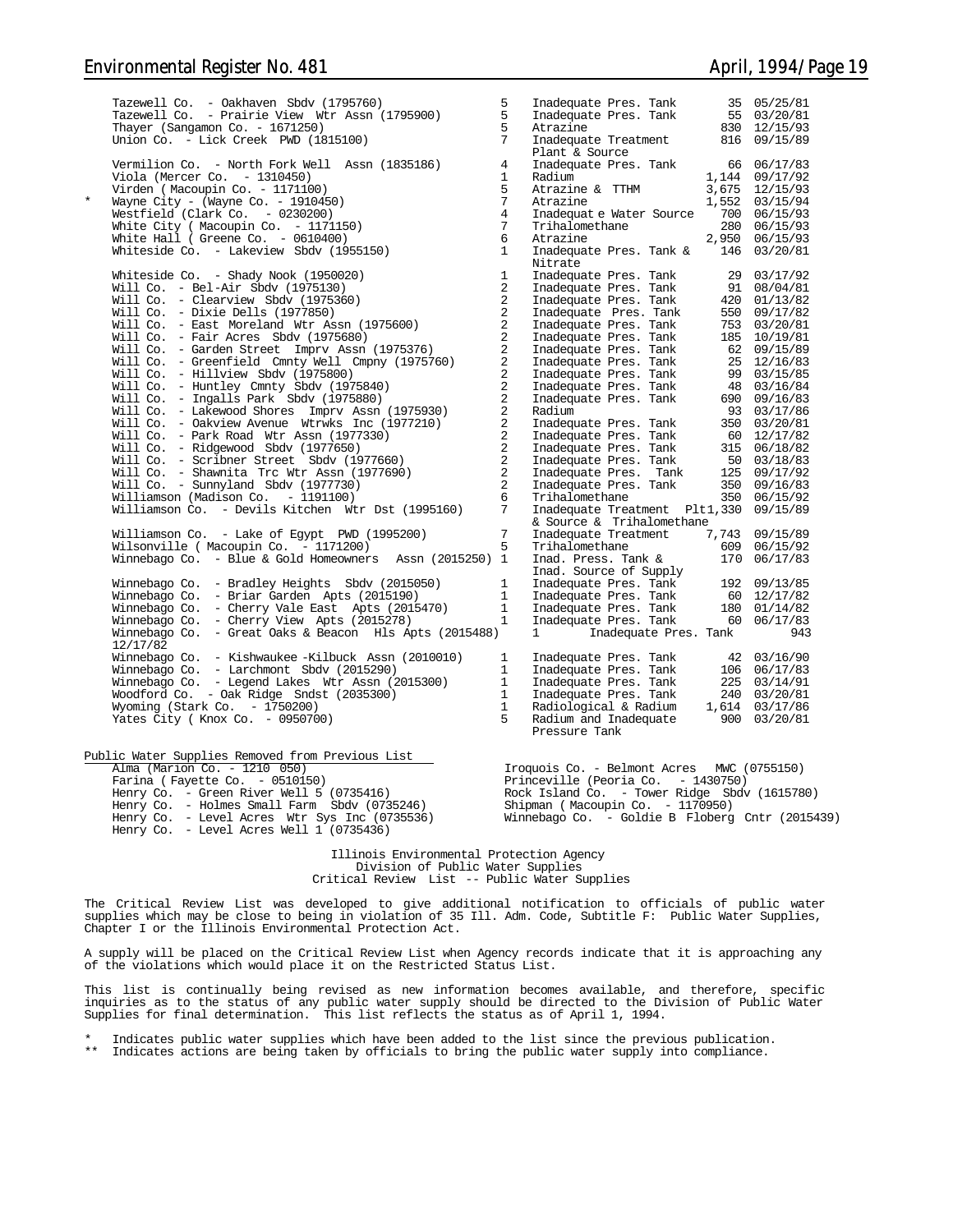|         | Tazewell Co. - Oakhaven Sbdv (1795760)                                                                                                 | 5               | Inadequate Pres. Tank 35 05/25/81                                                                                                                                                                                                                                                                                                                                                                    |     |
|---------|----------------------------------------------------------------------------------------------------------------------------------------|-----------------|------------------------------------------------------------------------------------------------------------------------------------------------------------------------------------------------------------------------------------------------------------------------------------------------------------------------------------------------------------------------------------------------------|-----|
|         | Tazewell Co. - Prairie View Wtr Assn (1795900)                                                                                         | 5               | Finally<br>autor Fres. Tank 55 03/20/81<br>Atrazine 830 12/15/93<br>Inadequate Treatment 816 09/15/89                                                                                                                                                                                                                                                                                                |     |
|         | Thayer (Sangamon Co. - 1671250)                                                                                                        | 5 <sup>5</sup>  |                                                                                                                                                                                                                                                                                                                                                                                                      |     |
|         | Union Co. - Lick Creek PWD (1815100)                                                                                                   | $7\overline{ }$ |                                                                                                                                                                                                                                                                                                                                                                                                      |     |
|         |                                                                                                                                        |                 | Plant & Source                                                                                                                                                                                                                                                                                                                                                                                       |     |
|         | Vermilion Co. - North Fork Well Assn (1835186)                                                                                         | $\overline{4}$  | Primit & Source<br>Inadequate Pres. Tank 66 06/17/83<br>Radium 1,144 09/17/92<br>Atrazine & TTHM 3,675 12/15/93<br>Atrazine 1,552 03/15/94                                                                                                                                                                                                                                                           |     |
|         | Viola (Mercer Co. $-1310450$ )                                                                                                         | $\mathbf{1}$    |                                                                                                                                                                                                                                                                                                                                                                                                      |     |
|         | Virden (Macoupin Co. - 1171100)                                                                                                        | 5 <sub>1</sub>  |                                                                                                                                                                                                                                                                                                                                                                                                      |     |
| $\star$ | Wayne City - (Wayne Co. - 1910450)                                                                                                     | $\overline{7}$  |                                                                                                                                                                                                                                                                                                                                                                                                      |     |
|         | Westfield (Clark Co. - 0230200)                                                                                                        | $4\overline{ }$ |                                                                                                                                                                                                                                                                                                                                                                                                      |     |
|         | White City ( Macoupin Co. - 1171150)                                                                                                   | 7               |                                                                                                                                                                                                                                                                                                                                                                                                      |     |
|         | White Hall ( Greene Co. - 0610400)                                                                                                     | 6               |                                                                                                                                                                                                                                                                                                                                                                                                      |     |
|         | Whiteside Co. - Lakeview Sbdv (1955150)                                                                                                | 1               | Tradequat e Water Source 1900 06/15/93<br>Trihalomethane 280 06/15/93<br>Atrazine 2,950 06/15/93<br>Inadequate Pres. Tank & 146 03/20/81<br>Nitrate<br>Mitrate<br>Inadequate Pres. Tank 29 03/17/92<br>Inadequate Pres. Tank 91 08/04/81<br>Inadequate Pres. Tank 420 01/13/82<br>Inadequate Pres. Tank 550 09/17/82<br>Inadequate Pres. Tank 550 09/17/82<br>Inadequate Pres. Tank 550 09/17/82<br> |     |
|         | Whiteside Co. - Shady Nook (1950020)                                                                                                   | <sup>1</sup>    |                                                                                                                                                                                                                                                                                                                                                                                                      |     |
|         | Will Co. - Bel-Air Sbdv (1975130)                                                                                                      | $\overline{a}$  |                                                                                                                                                                                                                                                                                                                                                                                                      |     |
|         | Will Co. - Clearview Sbdv (1975360)                                                                                                    | $\overline{2}$  |                                                                                                                                                                                                                                                                                                                                                                                                      |     |
|         | Will Co. - Dixie Dells (1977850)                                                                                                       | $\overline{a}$  |                                                                                                                                                                                                                                                                                                                                                                                                      |     |
|         | Will Co. - East Moreland Wtr Assn (1975600)                                                                                            | $\overline{a}$  |                                                                                                                                                                                                                                                                                                                                                                                                      |     |
|         | Will Co. - Fair Acres Sbdv (1975680)                                                                                                   | $\overline{a}$  |                                                                                                                                                                                                                                                                                                                                                                                                      |     |
|         | Will Co. - Garden Street Imprv Assn (1975376)                                                                                          | $\overline{a}$  |                                                                                                                                                                                                                                                                                                                                                                                                      |     |
|         | Will Co. - Greenfield Cmnty Well Cmpny (1975760)                                                                                       | $\sqrt{2}$      |                                                                                                                                                                                                                                                                                                                                                                                                      |     |
|         | Will Co. - Hillview Sbdv (1975800)                                                                                                     | $\overline{a}$  |                                                                                                                                                                                                                                                                                                                                                                                                      |     |
|         | Will Co. - Huntley Cmnty Sbdv (1975840)<br>Will Co. - Ingalls Park Sbdv (1975880)                                                      | $\overline{a}$  |                                                                                                                                                                                                                                                                                                                                                                                                      |     |
|         |                                                                                                                                        | $\overline{2}$  |                                                                                                                                                                                                                                                                                                                                                                                                      |     |
|         | Will Co. - Lakewood Shores Imprv Assn (1975930)                                                                                        | $\overline{a}$  |                                                                                                                                                                                                                                                                                                                                                                                                      |     |
|         | Will Co. - Oakview Avenue Wtrwks Inc (1977210)                                                                                         | $\overline{a}$  |                                                                                                                                                                                                                                                                                                                                                                                                      |     |
|         | Will Co. - Park Road Wtr Assn (1977330)                                                                                                | $\overline{a}$  |                                                                                                                                                                                                                                                                                                                                                                                                      |     |
|         | Will Co. - Ridgewood Sbdv (1977650)                                                                                                    | $\overline{a}$  |                                                                                                                                                                                                                                                                                                                                                                                                      |     |
|         | Will Co. - Scribner Street Sbdv (1977660)                                                                                              | $\overline{a}$  |                                                                                                                                                                                                                                                                                                                                                                                                      |     |
|         | Will Co. - Shawnita Trc Wtr Assn (1977690)                                                                                             | $\overline{a}$  |                                                                                                                                                                                                                                                                                                                                                                                                      |     |
|         | $\begin{minipage}{.4\linewidth} \textbf{Will Co.} \quad - \quad \textbf{Sumnyland} \quad \textbf{Sbdy} \quad (1977730) \end{minipage}$ | $\overline{2}$  |                                                                                                                                                                                                                                                                                                                                                                                                      |     |
|         | Williamson (Madison Co. - 1191100)                                                                                                     | 6               |                                                                                                                                                                                                                                                                                                                                                                                                      |     |
|         | Williamson Co. - Devils Kitchen Wtr Dst (1995160)                                                                                      | $7\overline{ }$ | Inadequate Treatment Plt1,330 09/15/89<br>& Source & Trihalomethane                                                                                                                                                                                                                                                                                                                                  |     |
|         | Williamson Co. - Lake of Egypt PWD (1995200)                                                                                           | $7\overline{ }$ |                                                                                                                                                                                                                                                                                                                                                                                                      |     |
|         | Wilsonville ( Macoupin Co. - 1171200)                                                                                                  | 5               | Inadequate Treatment $7,743$ 09/15/89                                                                                                                                                                                                                                                                                                                                                                |     |
|         | Winnebago Co. - Blue & Gold Homeowners Assn (2015250) 1                                                                                |                 | Trihalomethane $609 \t 06/15/92$<br>Inad. Press. Tank & 170 06/17/83                                                                                                                                                                                                                                                                                                                                 |     |
|         |                                                                                                                                        |                 |                                                                                                                                                                                                                                                                                                                                                                                                      |     |
|         | Winnebago Co. - Bradley Heights Sbdv (2015050)                                                                                         | $\mathbf{1}$    | mad. Source of Supply<br>Inadequate Pres. Tank 192 09/13/85<br>Inadequate Pres. Tank 60 12/17/82<br>Inadequate Pres. Tank 180 01/14/82<br>Inadequate Pres. Tank 180 06/17/83                                                                                                                                                                                                                         |     |
|         | Winnebago Co. - Briar Garden Apts (2015190)                                                                                            | 1               |                                                                                                                                                                                                                                                                                                                                                                                                      |     |
|         | Winnebago Co. - Cherry Vale East Apts (2015470)                                                                                        | 1               |                                                                                                                                                                                                                                                                                                                                                                                                      |     |
|         | Winnebago Co. - Cherry View Apts (2015278)                                                                                             | 1               |                                                                                                                                                                                                                                                                                                                                                                                                      |     |
|         | Winnebago Co. - Great Oaks & Beacon Hls Apts (2015488)<br>12/17/82                                                                     |                 | $1 \qquad \qquad$<br>Inadequate Pres. Tank                                                                                                                                                                                                                                                                                                                                                           | 943 |
|         | Winnebago Co. - Kishwaukee -Kilbuck Assn (2010010)                                                                                     | $\mathbf{1}$    |                                                                                                                                                                                                                                                                                                                                                                                                      |     |
|         | Winnebago Co. - Larchmont Sbdv (2015290)                                                                                               | $\mathbf{1}$    |                                                                                                                                                                                                                                                                                                                                                                                                      |     |
|         | Winnebago Co. - Legend Lakes Wtr Assn (2015300)                                                                                        | $\mathbf{1}$    |                                                                                                                                                                                                                                                                                                                                                                                                      |     |
|         | Woodford Co. - Oak Ridge Sndst (2035300)                                                                                               | $\mathbf{1}$    |                                                                                                                                                                                                                                                                                                                                                                                                      |     |
|         | Wyoming (Stark Co. - 1750200)                                                                                                          | 1               |                                                                                                                                                                                                                                                                                                                                                                                                      |     |
|         | Yates City (Knox Co. - 0950700)                                                                                                        | $5 -$           |                                                                                                                                                                                                                                                                                                                                                                                                      |     |
|         |                                                                                                                                        |                 | Pressure Tank                                                                                                                                                                                                                                                                                                                                                                                        |     |
|         | Public Water Supplies Removed from Previous List                                                                                       |                 |                                                                                                                                                                                                                                                                                                                                                                                                      |     |
|         | Alma (Marion Co. - 1210 050)                                                                                                           |                 | Iroquois Co. - Belmont Acres MWC (0755150)                                                                                                                                                                                                                                                                                                                                                           |     |
|         | Farina (Fayette Co. - 0510150)                                                                                                         |                 | Princeville (Peoria Co. - 1430750)                                                                                                                                                                                                                                                                                                                                                                   |     |
|         | Henry Co. - Green River Well 5 (0735416)                                                                                               |                 | Rock Island Co. - Tower Ridge Sbdv (1615780)                                                                                                                                                                                                                                                                                                                                                         |     |
|         | Henry Co. - Holmes Small Farm Sbdv (0735246)                                                                                           |                 |                                                                                                                                                                                                                                                                                                                                                                                                      |     |
|         | Henry Co. - Level Acres Wtr Sys Inc $(0735536)$                                                                                        |                 | Winnebago Co. - Goldie B Floberg Cntr (2015439)                                                                                                                                                                                                                                                                                                                                                      |     |
|         | Henry Co. - Level Acres Well 1 (0735436)                                                                                               |                 |                                                                                                                                                                                                                                                                                                                                                                                                      |     |
|         |                                                                                                                                        |                 |                                                                                                                                                                                                                                                                                                                                                                                                      |     |

Illinois Environmental Protection Agency Division of Public Water Supplies Critical Review List -- Public Water Supplies

The Critical Review List was developed to give additional notification to officials of public water supplies which may be close to being in violation of 35 Ill. Adm. Code, Subtitle F: Public Water Supplies, Chapter I or the Illinois Environmental Protection Act.

A supply will be placed on the Critical Review List when Agency records indicate that it is approaching any of the violations which would place it on the Restricted Status List.

This list is continually being revised as new information becomes available, and therefore, specific<br>inquiries as to the status of any public water supply should be directed to the Division of Public Water<br>Supplies for fin

Indicates public water supplies which have been added to the list since the previous publication.

\*\* Indicates actions are being taken by officials to bring the public water supply into compliance.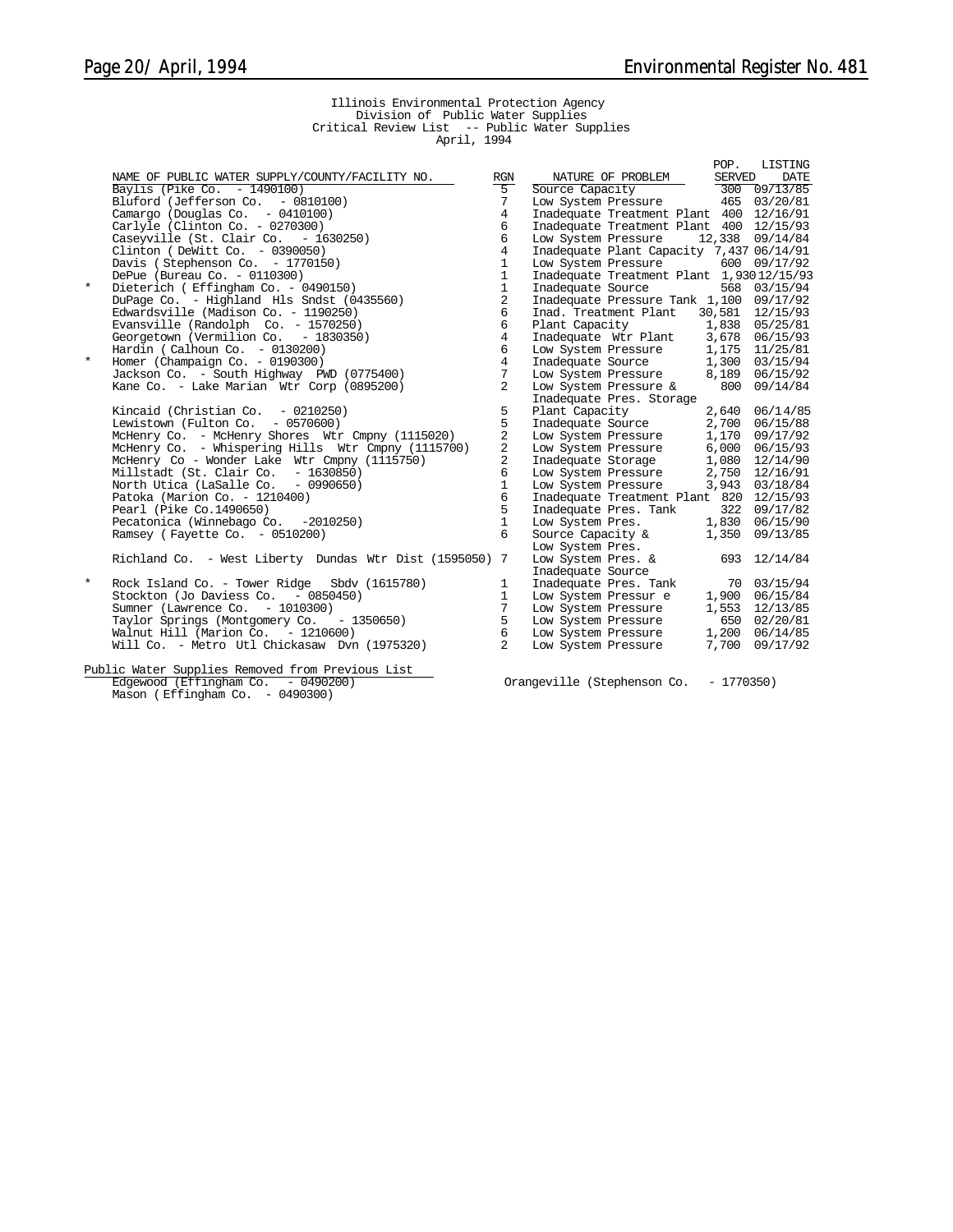# Illinois Environmental Protection Agency Division of Public Water Supplies Critical Review List -- Public Water Supplies April, 1994

|          |                                                                                                                       |                 |                                                                          | POP.   | LISTING         |
|----------|-----------------------------------------------------------------------------------------------------------------------|-----------------|--------------------------------------------------------------------------|--------|-----------------|
|          | NAME OF PUBLIC WATER SUPPLY/COUNTY/FACILITY NO.                                                                       | RGN             | NATURE OF PROBLEM                                                        | SERVED | DATE            |
|          | Baylis (Pike Co. - 1490100)                                                                                           | $5-$            | Source Capacity<br>Low System Pressure 465 03/20/81                      |        |                 |
|          | Bluford (Jefferson Co. - 0810100)                                                                                     | 7               |                                                                          |        |                 |
|          | Camargo (Douglas Co. - 0410100)                                                                                       | $\overline{4}$  | Inadequate Treatment Plant 400 12/16/91                                  |        |                 |
|          | Carlyle (Clinton Co. - 0270300)<br>Caseyville (St. Clair Co. - 1630250)                                               | 6               | Inadequate Treatment Plant 400 12/15/93                                  |        |                 |
|          |                                                                                                                       | 6               | Low System Pressure                                                      |        | 12,338 09/14/84 |
|          | Clinton (DeWitt Co. $-0390050$ )                                                                                      | $\overline{4}$  | Inadequate Plant Capacity 7,437 06/14/91                                 |        |                 |
|          | Davis (Stephenson Co. - 1770150)                                                                                      | $\mathbf{1}$    | Low System Pressure                                                      |        | 600 09/17/92    |
|          | DePue (Bureau Co. - 0110300)                                                                                          | $\mathbf{1}$    | Inadequate Treatment Plant 1,93012/15/93                                 |        |                 |
| $^\star$ | Dieterich (Effingham Co. - 0490150)                                                                                   | $\mathbf{1}$    | Inadequate Source                                                        |        | 568 03/15/94    |
|          | DuPage Co. - Highland Hls Sndst (0435560)                                                                             | $\overline{a}$  | Inadequate Pressure Tank 1,100 09/17/92                                  |        |                 |
|          | Edwardsville (Madison Co. - 1190250)                                                                                  | 6               | Inad. Treatment Plant 30,581 12/15/93                                    |        |                 |
|          | Evansville (Randolph Co. - 1570250)                                                                                   | 6               | Plant Capacity 1,838 05/25/81                                            |        |                 |
|          | Georgetown (Vermilion Co. - 1830350)                                                                                  | $\overline{4}$  | Inadequate Wtr Plant 3,678 06/15/93                                      |        |                 |
|          | Hardin (Calhoun Co. $-0130200$ )                                                                                      | 6               | Low System Pressure                                                      |        | 1,175 11/25/81  |
| $\star$  |                                                                                                                       | $\overline{4}$  |                                                                          |        |                 |
|          | Homer (Champaign Co. – 0190300)<br>Jackson Co. – South Highway PWD (0775400)<br>Kane Co. – John Mighway PWD (0775400) | $7\phantom{.0}$ | Inadequate Source 1,300 03/15/94<br>Low System Pressure 8,189 06/15/92   |        |                 |
|          | Kane Co. - Lake Marian Wtr Corp (0895200)                                                                             | 2               | Low System Pressure $\&$ 800 09/14/84                                    |        |                 |
|          |                                                                                                                       |                 | Inadequate Pres. Storage                                                 |        |                 |
|          | Kincaid (Christian Co. $-0210250$ )                                                                                   | 5               | Plant Capacity                                                           |        | 2,640 06/14/85  |
|          | Lewistown (Fulton Co. $-0570600$ )                                                                                    | 5               | Inadequate Source<br>Low System Pressure<br>Low System Pressure          |        | 2,700 06/15/88  |
|          | McHenry Co. - McHenry Shores Wtr Cmpny (1115020)                                                                      | 2               |                                                                          |        | 1,170 09/17/92  |
|          | McHenry Co. - Whispering Hills Wtr Cmpny (1115700)                                                                    | 2               | Low System Pressure                                                      | 6,000  | 06/15/93        |
|          | McHenry Co - Wonder Lake Wtr Cmpny (1115750)                                                                          | 2               | Inadequate Storage                                                       | 1,080  | 12/14/90        |
|          | Millstadt (St. Clair Co. - 1630850)                                                                                   | 6               | Low System Pressure<br>Low System Pressure                               |        | 2,750 12/16/91  |
|          | North Utica (LaSalle Co. - 0990650)                                                                                   | $\mathbf{1}$    |                                                                          |        | 3,943 03/18/84  |
|          | Patoka (Marion Co. - 1210400)                                                                                         | 6               | Inadequate Treatment Plant 820 12/15/93                                  |        |                 |
|          | Pearl (Pike Co.1490650)                                                                                               | 5               | Inadequate Pres. Tank 322 09/17/82                                       |        |                 |
|          | Pecatonica (Winnebago Co. -2010250)                                                                                   | $\mathbf{1}$    | Low System Pres. 1,830 06/15/90                                          |        |                 |
|          | Ramsey (Fayette Co. - 0510200)                                                                                        | 6               | Source Capacity &                                                        |        | 1,350 09/13/85  |
|          |                                                                                                                       |                 | Low System Pres.                                                         |        |                 |
|          | Richland Co. - West Liberty Dundas Wtr Dist (1595050) 7                                                               |                 | Low System Pres. &                                                       |        | 693 12/14/84    |
|          |                                                                                                                       |                 | Inadequate Source                                                        |        |                 |
| $^\star$ | Rock Island Co. - Tower Ridge Sbdv (1615780)                                                                          | 1               |                                                                          |        |                 |
|          | Stockton (Jo Daviess Co. - 0850450)                                                                                   | $\mathbf{1}$    | Inadequate Pres. Tank 70 03/15/94<br>Low System Pressur e 1,900 06/15/84 |        |                 |
|          | Sumner (Lawrence Co. - 1010300)                                                                                       | $7\phantom{.0}$ | Low System Pressure                                                      |        | 1,553 12/13/85  |
|          | Taylor Springs (Montgomery Co. - 1350650)                                                                             | $5^{\circ}$     | Low System Pressure 650 02/20/81                                         |        |                 |
|          | Walnut Hill (Marion Co. $-1210600$ )                                                                                  | 6               | Low System Pressure                                                      |        | 1,200 06/14/85  |
|          | Will Co. - Metro Utl Chickasaw Dvn (1975320)                                                                          | $\overline{2}$  | Low System Pressure                                                      | 7,700  | 09/17/92        |
|          | Public Water Supplies Removed from Previous List                                                                      |                 |                                                                          |        |                 |

Public Water Supplies Removed from Previous List Mason (Effingham Co. - 0490300)

Orangeville (Stephenson Co. - 1770350)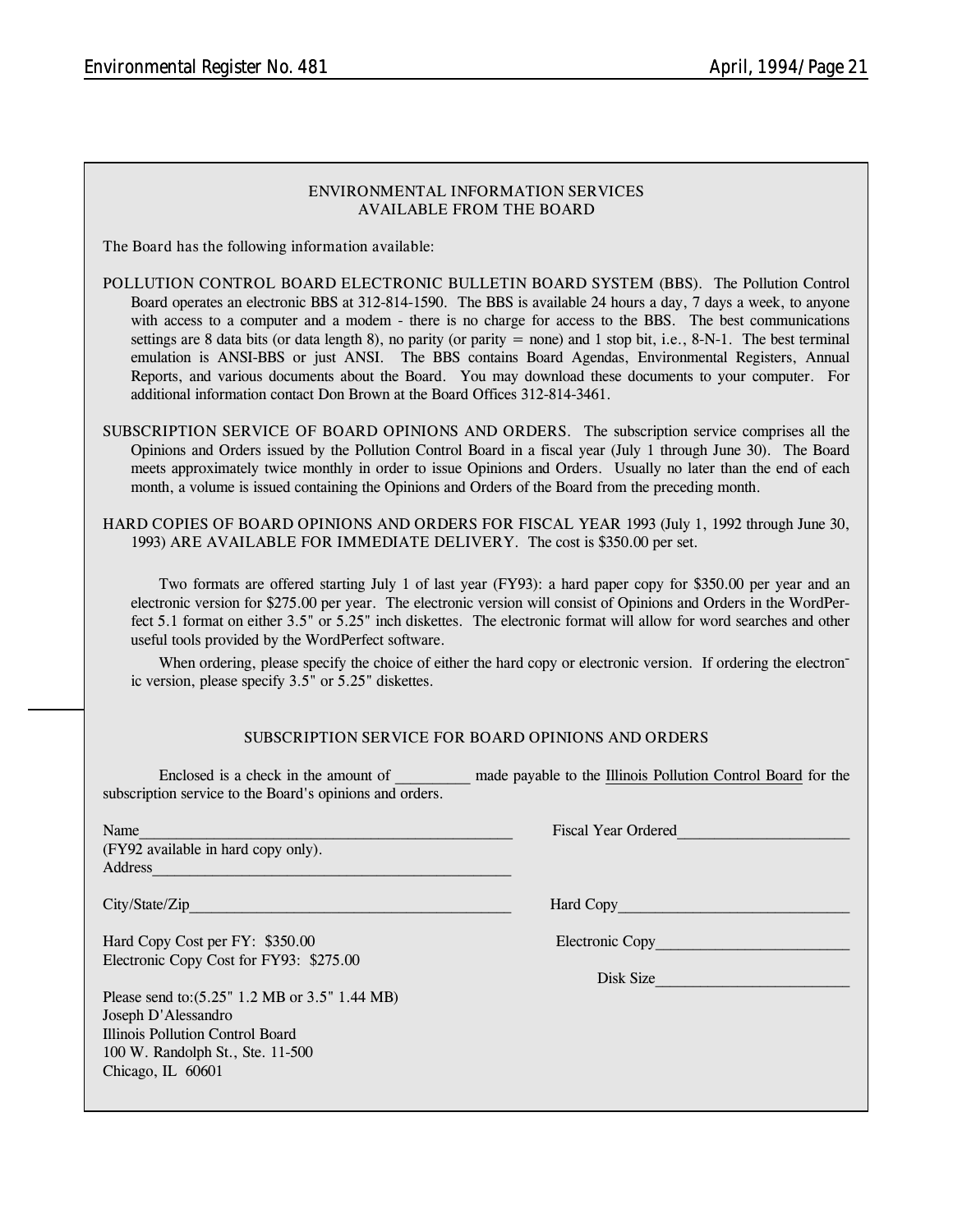| ENVIRONMENTAL INFORMATION SERVICES<br><b>AVAILABLE FROM THE BOARD</b>                                                                                                                                                                                                                                                                                                                                                                                                                                                                                                                                                                                                                                                                                |                                                                                                                                                                                                                                                                                                                                                             |  |  |  |  |
|------------------------------------------------------------------------------------------------------------------------------------------------------------------------------------------------------------------------------------------------------------------------------------------------------------------------------------------------------------------------------------------------------------------------------------------------------------------------------------------------------------------------------------------------------------------------------------------------------------------------------------------------------------------------------------------------------------------------------------------------------|-------------------------------------------------------------------------------------------------------------------------------------------------------------------------------------------------------------------------------------------------------------------------------------------------------------------------------------------------------------|--|--|--|--|
| The Board has the following information available:                                                                                                                                                                                                                                                                                                                                                                                                                                                                                                                                                                                                                                                                                                   |                                                                                                                                                                                                                                                                                                                                                             |  |  |  |  |
| POLLUTION CONTROL BOARD ELECTRONIC BULLETIN BOARD SYSTEM (BBS). The Pollution Control<br>Board operates an electronic BBS at 312-814-1590. The BBS is available 24 hours a day, 7 days a week, to anyone<br>with access to a computer and a modem - there is no charge for access to the BBS. The best communications<br>settings are 8 data bits (or data length 8), no parity (or parity = none) and 1 stop bit, i.e., $8-N-1$ . The best terminal<br>emulation is ANSI-BBS or just ANSI. The BBS contains Board Agendas, Environmental Registers, Annual<br>Reports, and various documents about the Board. You may download these documents to your computer. For<br>additional information contact Don Brown at the Board Offices 312-814-3461. |                                                                                                                                                                                                                                                                                                                                                             |  |  |  |  |
| SUBSCRIPTION SERVICE OF BOARD OPINIONS AND ORDERS. The subscription service comprises all the<br>Opinions and Orders issued by the Pollution Control Board in a fiscal year (July 1 through June 30). The Board<br>meets approximately twice monthly in order to issue Opinions and Orders. Usually no later than the end of each<br>month, a volume is issued containing the Opinions and Orders of the Board from the preceding month.                                                                                                                                                                                                                                                                                                             |                                                                                                                                                                                                                                                                                                                                                             |  |  |  |  |
| 1993) ARE AVAILABLE FOR IMMEDIATE DELIVERY. The cost is \$350.00 per set.                                                                                                                                                                                                                                                                                                                                                                                                                                                                                                                                                                                                                                                                            | HARD COPIES OF BOARD OPINIONS AND ORDERS FOR FISCAL YEAR 1993 (July 1, 1992 through June 30,                                                                                                                                                                                                                                                                |  |  |  |  |
| useful tools provided by the WordPerfect software.                                                                                                                                                                                                                                                                                                                                                                                                                                                                                                                                                                                                                                                                                                   | Two formats are offered starting July 1 of last year (FY93): a hard paper copy for \$350.00 per year and an<br>electronic version for \$275.00 per year. The electronic version will consist of Opinions and Orders in the WordPer-<br>fect 5.1 format on either 3.5" or 5.25" inch diskettes. The electronic format will allow for word searches and other |  |  |  |  |
| ic version, please specify 3.5" or 5.25" diskettes.                                                                                                                                                                                                                                                                                                                                                                                                                                                                                                                                                                                                                                                                                                  | When ordering, please specify the choice of either the hard copy or electronic version. If ordering the electron-                                                                                                                                                                                                                                           |  |  |  |  |
|                                                                                                                                                                                                                                                                                                                                                                                                                                                                                                                                                                                                                                                                                                                                                      | SUBSCRIPTION SERVICE FOR BOARD OPINIONS AND ORDERS                                                                                                                                                                                                                                                                                                          |  |  |  |  |
| Enclosed is a check in the amount of<br>subscription service to the Board's opinions and orders.                                                                                                                                                                                                                                                                                                                                                                                                                                                                                                                                                                                                                                                     | made payable to the Illinois Pollution Control Board for the                                                                                                                                                                                                                                                                                                |  |  |  |  |
| Name<br>(FY92 available in hard copy only).<br>Address                                                                                                                                                                                                                                                                                                                                                                                                                                                                                                                                                                                                                                                                                               | <b>Fiscal Year Ordered</b>                                                                                                                                                                                                                                                                                                                                  |  |  |  |  |
|                                                                                                                                                                                                                                                                                                                                                                                                                                                                                                                                                                                                                                                                                                                                                      | Hard Copy <u>and Copy</u>                                                                                                                                                                                                                                                                                                                                   |  |  |  |  |
| Hard Copy Cost per FY: \$350.00<br>Electronic Copy Cost for FY93: \$275.00                                                                                                                                                                                                                                                                                                                                                                                                                                                                                                                                                                                                                                                                           | Electronic Copy                                                                                                                                                                                                                                                                                                                                             |  |  |  |  |
| Please send to: (5.25" 1.2 MB or 3.5" 1.44 MB)<br>Joseph D'Alessandro<br>Illinois Pollution Control Board<br>100 W. Randolph St., Ste. 11-500<br>Chicago, IL 60601                                                                                                                                                                                                                                                                                                                                                                                                                                                                                                                                                                                   | Disk Size                                                                                                                                                                                                                                                                                                                                                   |  |  |  |  |